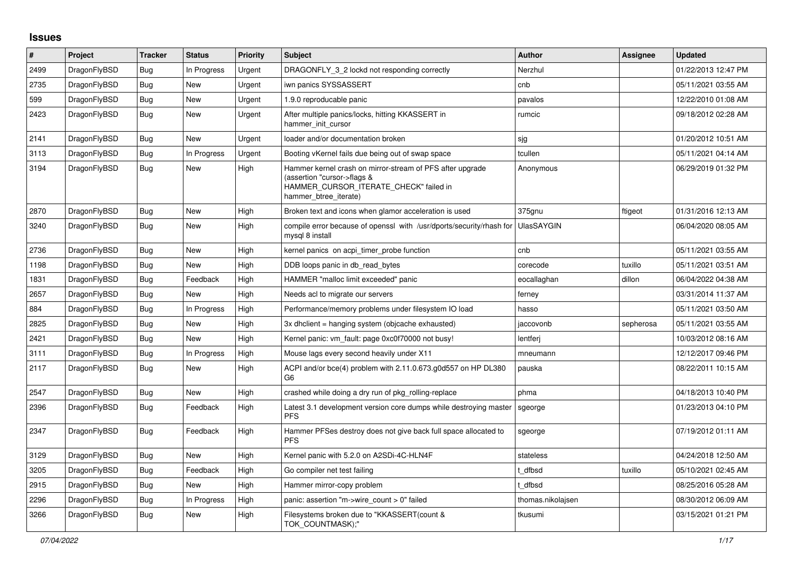## **Issues**

| #    | <b>Project</b> | <b>Tracker</b> | <b>Status</b> | Priority | <b>Subject</b>                                                                                                                                              | <b>Author</b>     | <b>Assignee</b> | <b>Updated</b>      |
|------|----------------|----------------|---------------|----------|-------------------------------------------------------------------------------------------------------------------------------------------------------------|-------------------|-----------------|---------------------|
| 2499 | DragonFlyBSD   | <b>Bug</b>     | In Progress   | Urgent   | DRAGONFLY 3 2 lockd not responding correctly                                                                                                                | Nerzhul           |                 | 01/22/2013 12:47 PM |
| 2735 | DragonFlyBSD   | <b>Bug</b>     | <b>New</b>    | Urgent   | iwn panics SYSSASSERT                                                                                                                                       | cnb               |                 | 05/11/2021 03:55 AM |
| 599  | DragonFlyBSD   | Bug            | <b>New</b>    | Urgent   | 1.9.0 reproducable panic                                                                                                                                    | pavalos           |                 | 12/22/2010 01:08 AM |
| 2423 | DragonFlyBSD   | Bug            | New           | Urgent   | After multiple panics/locks, hitting KKASSERT in<br>hammer init cursor                                                                                      | rumcic            |                 | 09/18/2012 02:28 AM |
| 2141 | DragonFlyBSD   | Bug            | <b>New</b>    | Urgent   | loader and/or documentation broken                                                                                                                          | sjg               |                 | 01/20/2012 10:51 AM |
| 3113 | DragonFlyBSD   | Bug            | In Progress   | Urgent   | Booting vKernel fails due being out of swap space                                                                                                           | tcullen           |                 | 05/11/2021 04:14 AM |
| 3194 | DragonFlyBSD   | <b>Bug</b>     | New           | High     | Hammer kernel crash on mirror-stream of PFS after upgrade<br>(assertion "cursor->flags &<br>HAMMER_CURSOR_ITERATE_CHECK" failed in<br>hammer_btree_iterate) | Anonymous         |                 | 06/29/2019 01:32 PM |
| 2870 | DragonFlyBSD   | Bug            | <b>New</b>    | High     | Broken text and icons when glamor acceleration is used                                                                                                      | 375gnu            | ftigeot         | 01/31/2016 12:13 AM |
| 3240 | DragonFlyBSD   | Bug            | New           | High     | compile error because of openssl with /usr/dports/security/rhash for<br>mysql 8 install                                                                     | <b>UlasSAYGIN</b> |                 | 06/04/2020 08:05 AM |
| 2736 | DragonFlyBSD   | <b>Bug</b>     | New           | High     | kernel panics on acpi timer probe function                                                                                                                  | cnb               |                 | 05/11/2021 03:55 AM |
| 1198 | DragonFlyBSD   | <b>Bug</b>     | <b>New</b>    | High     | DDB loops panic in db read bytes                                                                                                                            | corecode          | tuxillo         | 05/11/2021 03:51 AM |
| 1831 | DragonFlyBSD   | Bug            | Feedback      | High     | HAMMER "malloc limit exceeded" panic                                                                                                                        | eocallaghan       | dillon          | 06/04/2022 04:38 AM |
| 2657 | DragonFlyBSD   | <b>Bug</b>     | <b>New</b>    | High     | Needs acl to migrate our servers                                                                                                                            | ferney            |                 | 03/31/2014 11:37 AM |
| 884  | DragonFlyBSD   | <b>Bug</b>     | In Progress   | High     | Performance/memory problems under filesystem IO load                                                                                                        | hasso             |                 | 05/11/2021 03:50 AM |
| 2825 | DragonFlyBSD   | <b>Bug</b>     | New           | High     | 3x dhclient = hanging system (objcache exhausted)                                                                                                           | jaccovonb         | sepherosa       | 05/11/2021 03:55 AM |
| 2421 | DragonFlyBSD   | <b>Bug</b>     | <b>New</b>    | High     | Kernel panic: vm_fault: page 0xc0f70000 not busy!                                                                                                           | lentferj          |                 | 10/03/2012 08:16 AM |
| 3111 | DragonFlyBSD   | <b>Bug</b>     | In Progress   | High     | Mouse lags every second heavily under X11                                                                                                                   | mneumann          |                 | 12/12/2017 09:46 PM |
| 2117 | DragonFlyBSD   | <b>Bug</b>     | <b>New</b>    | High     | ACPI and/or bce(4) problem with 2.11.0.673.g0d557 on HP DL380<br>G6                                                                                         | pauska            |                 | 08/22/2011 10:15 AM |
| 2547 | DragonFlyBSD   | Bug            | New           | High     | crashed while doing a dry run of pkg rolling-replace                                                                                                        | phma              |                 | 04/18/2013 10:40 PM |
| 2396 | DragonFlyBSD   | Bug            | Feedback      | High     | Latest 3.1 development version core dumps while destroying master<br><b>PFS</b>                                                                             | sgeorge           |                 | 01/23/2013 04:10 PM |
| 2347 | DragonFlyBSD   | Bug            | Feedback      | High     | Hammer PFSes destroy does not give back full space allocated to<br><b>PFS</b>                                                                               | sgeorge           |                 | 07/19/2012 01:11 AM |
| 3129 | DragonFlyBSD   | <b>Bug</b>     | <b>New</b>    | High     | Kernel panic with 5.2.0 on A2SDi-4C-HLN4F                                                                                                                   | stateless         |                 | 04/24/2018 12:50 AM |
| 3205 | DragonFlyBSD   | <b>Bug</b>     | Feedback      | High     | Go compiler net test failing                                                                                                                                | t dfbsd           | tuxillo         | 05/10/2021 02:45 AM |
| 2915 | DragonFlyBSD   | <b>Bug</b>     | <b>New</b>    | High     | Hammer mirror-copy problem                                                                                                                                  | dfbsd             |                 | 08/25/2016 05:28 AM |
| 2296 | DragonFlyBSD   | <b>Bug</b>     | In Progress   | High     | panic: assertion "m->wire_count > 0" failed                                                                                                                 | thomas.nikolajsen |                 | 08/30/2012 06:09 AM |
| 3266 | DragonFlyBSD   | <b>Bug</b>     | <b>New</b>    | High     | Filesystems broken due to "KKASSERT(count &<br>TOK COUNTMASK);"                                                                                             | tkusumi           |                 | 03/15/2021 01:21 PM |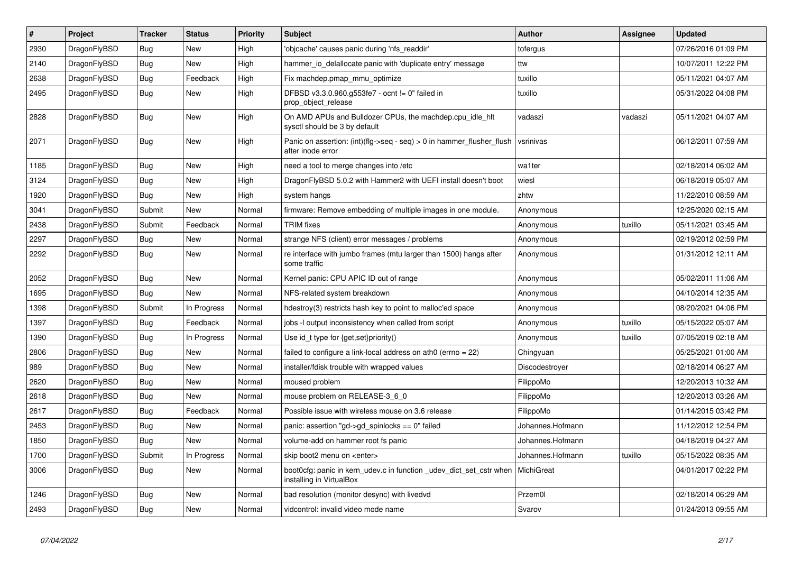| $\vert$ # | Project      | <b>Tracker</b> | <b>Status</b> | <b>Priority</b> | <b>Subject</b>                                                                                 | <b>Author</b>    | Assignee | Updated             |
|-----------|--------------|----------------|---------------|-----------------|------------------------------------------------------------------------------------------------|------------------|----------|---------------------|
| 2930      | DragonFlyBSD | Bug            | New           | High            | 'objcache' causes panic during 'nfs readdir'                                                   | tofergus         |          | 07/26/2016 01:09 PM |
| 2140      | DragonFlyBSD | <b>Bug</b>     | <b>New</b>    | High            | hammer io delallocate panic with 'duplicate entry' message                                     | ttw              |          | 10/07/2011 12:22 PM |
| 2638      | DragonFlyBSD | Bug            | Feedback      | High            | Fix machdep.pmap mmu optimize                                                                  | tuxillo          |          | 05/11/2021 04:07 AM |
| 2495      | DragonFlyBSD | Bug            | New           | High            | DFBSD v3.3.0.960.g553fe7 - ocnt != 0" failed in<br>prop_object_release                         | tuxillo          |          | 05/31/2022 04:08 PM |
| 2828      | DragonFlyBSD | <b>Bug</b>     | New           | High            | On AMD APUs and Bulldozer CPUs, the machdep.cpu_idle_hlt<br>sysctl should be 3 by default      | vadaszi          | vadaszi  | 05/11/2021 04:07 AM |
| 2071      | DragonFlyBSD | <b>Bug</b>     | <b>New</b>    | High            | Panic on assertion: $(int)(flag->seq - seq) > 0$ in hammer flusher flush<br>after inode error  | vsrinivas        |          | 06/12/2011 07:59 AM |
| 1185      | DragonFlyBSD | Bug            | New           | High            | need a tool to merge changes into /etc                                                         | wa1ter           |          | 02/18/2014 06:02 AM |
| 3124      | DragonFlyBSD | <b>Bug</b>     | <b>New</b>    | High            | DragonFlyBSD 5.0.2 with Hammer2 with UEFI install doesn't boot                                 | wiesl            |          | 06/18/2019 05:07 AM |
| 1920      | DragonFlyBSD | <b>Bug</b>     | <b>New</b>    | High            | system hangs                                                                                   | zhtw             |          | 11/22/2010 08:59 AM |
| 3041      | DragonFlyBSD | Submit         | New           | Normal          | firmware: Remove embedding of multiple images in one module.                                   | Anonymous        |          | 12/25/2020 02:15 AM |
| 2438      | DragonFlyBSD | Submit         | Feedback      | Normal          | <b>TRIM</b> fixes                                                                              | Anonymous        | tuxillo  | 05/11/2021 03:45 AM |
| 2297      | DragonFlyBSD | <b>Bug</b>     | <b>New</b>    | Normal          | strange NFS (client) error messages / problems                                                 | Anonymous        |          | 02/19/2012 02:59 PM |
| 2292      | DragonFlyBSD | Bug            | <b>New</b>    | Normal          | re interface with jumbo frames (mtu larger than 1500) hangs after<br>some traffic              | Anonymous        |          | 01/31/2012 12:11 AM |
| 2052      | DragonFlyBSD | <b>Bug</b>     | New           | Normal          | Kernel panic: CPU APIC ID out of range                                                         | Anonymous        |          | 05/02/2011 11:06 AM |
| 1695      | DragonFlyBSD | <b>Bug</b>     | <b>New</b>    | Normal          | NFS-related system breakdown                                                                   | Anonymous        |          | 04/10/2014 12:35 AM |
| 1398      | DragonFlyBSD | Submit         | In Progress   | Normal          | hdestroy(3) restricts hash key to point to malloc'ed space                                     | Anonymous        |          | 08/20/2021 04:06 PM |
| 1397      | DragonFlyBSD | Bug            | Feedback      | Normal          | jobs -I output inconsistency when called from script                                           | Anonymous        | tuxillo  | 05/15/2022 05:07 AM |
| 1390      | DragonFlyBSD | <b>Bug</b>     | In Progress   | Normal          | Use id_t type for {get,set}priority()                                                          | Anonymous        | tuxillo  | 07/05/2019 02:18 AM |
| 2806      | DragonFlyBSD | Bug            | <b>New</b>    | Normal          | failed to configure a link-local address on ath0 (errno = 22)                                  | Chingyuan        |          | 05/25/2021 01:00 AM |
| 989       | DragonFlyBSD | <b>Bug</b>     | New           | Normal          | installer/fdisk trouble with wrapped values                                                    | Discodestroyer   |          | 02/18/2014 06:27 AM |
| 2620      | DragonFlyBSD | <b>Bug</b>     | New           | Normal          | moused problem                                                                                 | FilippoMo        |          | 12/20/2013 10:32 AM |
| 2618      | DragonFlyBSD | <b>Bug</b>     | <b>New</b>    | Normal          | mouse problem on RELEASE-3 6 0                                                                 | FilippoMo        |          | 12/20/2013 03:26 AM |
| 2617      | DragonFlyBSD | Bug            | Feedback      | Normal          | Possible issue with wireless mouse on 3.6 release                                              | FilippoMo        |          | 01/14/2015 03:42 PM |
| 2453      | DragonFlyBSD | <b>Bug</b>     | <b>New</b>    | Normal          | panic: assertion "gd->gd_spinlocks == 0" failed                                                | Johannes.Hofmann |          | 11/12/2012 12:54 PM |
| 1850      | DragonFlyBSD | <b>Bug</b>     | <b>New</b>    | Normal          | volume-add on hammer root fs panic                                                             | Johannes.Hofmann |          | 04/18/2019 04:27 AM |
| 1700      | DragonFlyBSD | Submit         | In Progress   | Normal          | skip boot2 menu on <enter></enter>                                                             | Johannes.Hofmann | tuxillo  | 05/15/2022 08:35 AM |
| 3006      | DragonFlyBSD | Bug            | New           | Normal          | boot0cfg: panic in kern udev.c in function udev dict set cstr when<br>installing in VirtualBox | MichiGreat       |          | 04/01/2017 02:22 PM |
| 1246      | DragonFlyBSD | <b>Bug</b>     | <b>New</b>    | Normal          | bad resolution (monitor desync) with livedvd                                                   | Przem0l          |          | 02/18/2014 06:29 AM |
| 2493      | DragonFlyBSD | Bug            | <b>New</b>    | Normal          | vidcontrol: invalid video mode name                                                            | Svarov           |          | 01/24/2013 09:55 AM |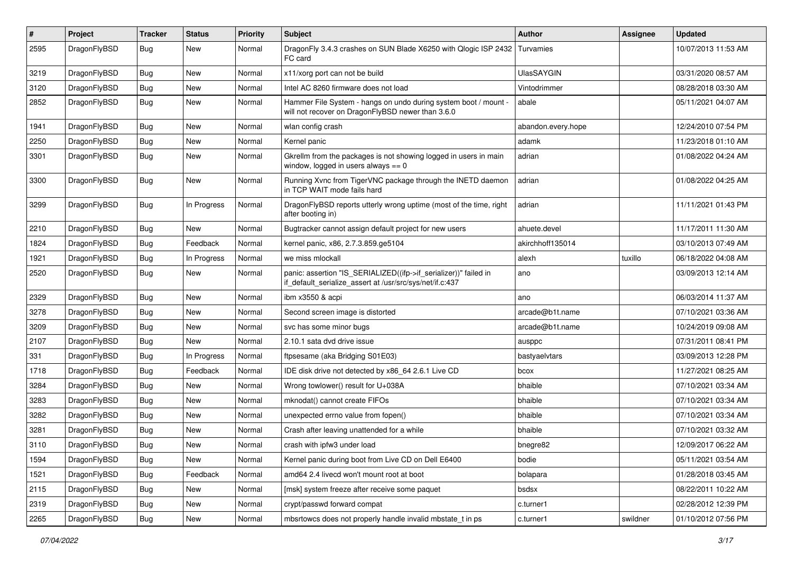| $\pmb{\#}$ | Project      | <b>Tracker</b> | <b>Status</b> | <b>Priority</b> | Subject                                                                                                                      | <b>Author</b>      | <b>Assignee</b> | <b>Updated</b>      |
|------------|--------------|----------------|---------------|-----------------|------------------------------------------------------------------------------------------------------------------------------|--------------------|-----------------|---------------------|
| 2595       | DragonFlyBSD | Bug            | New           | Normal          | DragonFly 3.4.3 crashes on SUN Blade X6250 with Qlogic ISP 2432<br>FC card                                                   | Turvamies          |                 | 10/07/2013 11:53 AM |
| 3219       | DragonFlyBSD | <b>Bug</b>     | <b>New</b>    | Normal          | x11/xorg port can not be build                                                                                               | UlasSAYGIN         |                 | 03/31/2020 08:57 AM |
| 3120       | DragonFlyBSD | Bug            | <b>New</b>    | Normal          | Intel AC 8260 firmware does not load                                                                                         | Vintodrimmer       |                 | 08/28/2018 03:30 AM |
| 2852       | DragonFlyBSD | <b>Bug</b>     | <b>New</b>    | Normal          | Hammer File System - hangs on undo during system boot / mount -<br>will not recover on DragonFlyBSD newer than 3.6.0         | abale              |                 | 05/11/2021 04:07 AM |
| 1941       | DragonFlyBSD | Bug            | <b>New</b>    | Normal          | wlan config crash                                                                                                            | abandon.every.hope |                 | 12/24/2010 07:54 PM |
| 2250       | DragonFlyBSD | Bug            | <b>New</b>    | Normal          | Kernel panic                                                                                                                 | adamk              |                 | 11/23/2018 01:10 AM |
| 3301       | DragonFlyBSD | Bug            | New           | Normal          | Gkrellm from the packages is not showing logged in users in main<br>window, logged in users always $== 0$                    | adrian             |                 | 01/08/2022 04:24 AM |
| 3300       | DragonFlyBSD | <b>Bug</b>     | <b>New</b>    | Normal          | Running Xvnc from TigerVNC package through the INETD daemon<br>in TCP WAIT mode fails hard                                   | adrian             |                 | 01/08/2022 04:25 AM |
| 3299       | DragonFlyBSD | Bug            | In Progress   | Normal          | DragonFlyBSD reports utterly wrong uptime (most of the time, right<br>after booting in)                                      | adrian             |                 | 11/11/2021 01:43 PM |
| 2210       | DragonFlyBSD | Bug            | New           | Normal          | Bugtracker cannot assign default project for new users                                                                       | ahuete.devel       |                 | 11/17/2011 11:30 AM |
| 1824       | DragonFlyBSD | <b>Bug</b>     | Feedback      | Normal          | kernel panic, x86, 2.7.3.859.ge5104                                                                                          | akirchhoff135014   |                 | 03/10/2013 07:49 AM |
| 1921       | DragonFlyBSD | <b>Bug</b>     | In Progress   | Normal          | we miss mlockall                                                                                                             | alexh              | tuxillo         | 06/18/2022 04:08 AM |
| 2520       | DragonFlyBSD | <b>Bug</b>     | New           | Normal          | panic: assertion "IS_SERIALIZED((ifp->if_serializer))" failed in<br>if default serialize assert at /usr/src/sys/net/if.c:437 | ano                |                 | 03/09/2013 12:14 AM |
| 2329       | DragonFlyBSD | <b>Bug</b>     | <b>New</b>    | Normal          | ibm x3550 & acpi                                                                                                             | ano                |                 | 06/03/2014 11:37 AM |
| 3278       | DragonFlyBSD | Bug            | <b>New</b>    | Normal          | Second screen image is distorted                                                                                             | arcade@b1t.name    |                 | 07/10/2021 03:36 AM |
| 3209       | DragonFlyBSD | Bug            | New           | Normal          | svc has some minor bugs                                                                                                      | arcade@b1t.name    |                 | 10/24/2019 09:08 AM |
| 2107       | DragonFlyBSD | Bug            | New           | Normal          | 2.10.1 sata dvd drive issue                                                                                                  | ausppc             |                 | 07/31/2011 08:41 PM |
| 331        | DragonFlyBSD | Bug            | In Progress   | Normal          | ftpsesame (aka Bridging S01E03)                                                                                              | bastyaelvtars      |                 | 03/09/2013 12:28 PM |
| 1718       | DragonFlyBSD | Bug            | Feedback      | Normal          | IDE disk drive not detected by x86_64 2.6.1 Live CD                                                                          | bcox               |                 | 11/27/2021 08:25 AM |
| 3284       | DragonFlyBSD | Bug            | <b>New</b>    | Normal          | Wrong towlower() result for U+038A                                                                                           | bhaible            |                 | 07/10/2021 03:34 AM |
| 3283       | DragonFlyBSD | <b>Bug</b>     | <b>New</b>    | Normal          | mknodat() cannot create FIFOs                                                                                                | bhaible            |                 | 07/10/2021 03:34 AM |
| 3282       | DragonFlyBSD | Bug            | <b>New</b>    | Normal          | unexpected errno value from fopen()                                                                                          | bhaible            |                 | 07/10/2021 03:34 AM |
| 3281       | DragonFlyBSD | <b>Bug</b>     | New           | Normal          | Crash after leaving unattended for a while                                                                                   | bhaible            |                 | 07/10/2021 03:32 AM |
| 3110       | DragonFlyBSD | Bug            | New           | Normal          | crash with ipfw3 under load                                                                                                  | bnegre82           |                 | 12/09/2017 06:22 AM |
| 1594       | DragonFlyBSD | Bug            | <b>New</b>    | Normal          | Kernel panic during boot from Live CD on Dell E6400                                                                          | bodie              |                 | 05/11/2021 03:54 AM |
| 1521       | DragonFlyBSD | <b>Bug</b>     | Feedback      | Normal          | amd64 2.4 livecd won't mount root at boot                                                                                    | bolapara           |                 | 01/28/2018 03:45 AM |
| 2115       | DragonFlyBSD | <b>Bug</b>     | New           | Normal          | [msk] system freeze after receive some paquet                                                                                | bsdsx              |                 | 08/22/2011 10:22 AM |
| 2319       | DragonFlyBSD | Bug            | New           | Normal          | crypt/passwd forward compat                                                                                                  | c.turner1          |                 | 02/28/2012 12:39 PM |
| 2265       | DragonFlyBSD | Bug            | New           | Normal          | mbsrtowcs does not properly handle invalid mbstate_t in ps                                                                   | c.turner1          | swildner        | 01/10/2012 07:56 PM |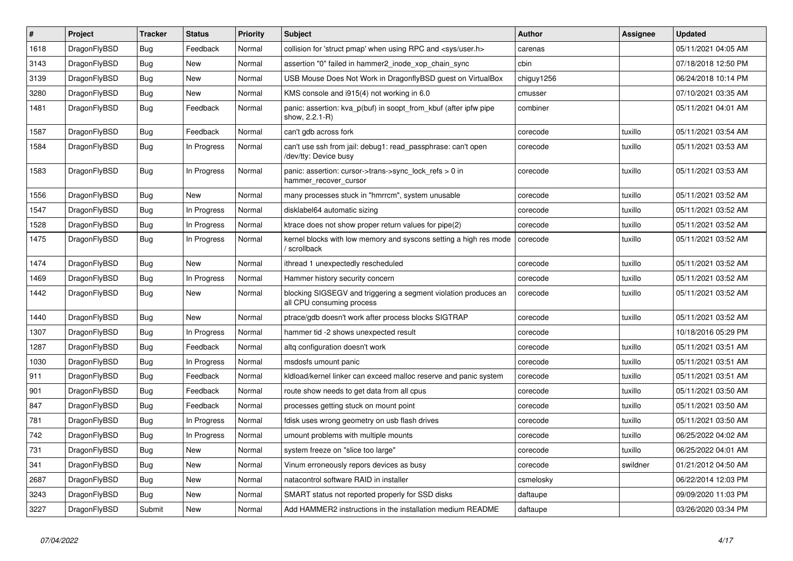| $\vert$ # | <b>Project</b> | <b>Tracker</b> | <b>Status</b> | <b>Priority</b> | <b>Subject</b>                                                                               | <b>Author</b> | Assignee | <b>Updated</b>      |
|-----------|----------------|----------------|---------------|-----------------|----------------------------------------------------------------------------------------------|---------------|----------|---------------------|
| 1618      | DragonFlyBSD   | <b>Bug</b>     | Feedback      | Normal          | collision for 'struct pmap' when using RPC and <sys user.h=""></sys>                         | carenas       |          | 05/11/2021 04:05 AM |
| 3143      | DragonFlyBSD   | <b>Bug</b>     | New           | Normal          | assertion "0" failed in hammer2 inode xop chain sync                                         | cbin          |          | 07/18/2018 12:50 PM |
| 3139      | DragonFlyBSD   | <b>Bug</b>     | <b>New</b>    | Normal          | USB Mouse Does Not Work in DragonflyBSD guest on VirtualBox                                  | chiguy1256    |          | 06/24/2018 10:14 PM |
| 3280      | DragonFlyBSD   | Bug            | <b>New</b>    | Normal          | KMS console and i915(4) not working in 6.0                                                   | cmusser       |          | 07/10/2021 03:35 AM |
| 1481      | DragonFlyBSD   | Bug            | Feedback      | Normal          | panic: assertion: kva p(buf) in soopt from kbuf (after ipfw pipe<br>show, 2.2.1-R)           | combiner      |          | 05/11/2021 04:01 AM |
| 1587      | DragonFlyBSD   | <b>Bug</b>     | Feedback      | Normal          | can't gdb across fork                                                                        | corecode      | tuxillo  | 05/11/2021 03:54 AM |
| 1584      | DragonFlyBSD   | <b>Bug</b>     | In Progress   | Normal          | can't use ssh from jail: debug1: read_passphrase: can't open<br>/dev/tty: Device busy        | corecode      | tuxillo  | 05/11/2021 03:53 AM |
| 1583      | DragonFlyBSD   | <b>Bug</b>     | In Progress   | Normal          | panic: assertion: cursor->trans->sync_lock_refs > 0 in<br>hammer_recover_cursor              | corecode      | tuxillo  | 05/11/2021 03:53 AM |
| 1556      | DragonFlyBSD   | <b>Bug</b>     | <b>New</b>    | Normal          | many processes stuck in "hmrrcm", system unusable                                            | corecode      | tuxillo  | 05/11/2021 03:52 AM |
| 1547      | DragonFlyBSD   | Bug            | In Progress   | Normal          | disklabel64 automatic sizing                                                                 | corecode      | tuxillo  | 05/11/2021 03:52 AM |
| 1528      | DragonFlyBSD   | Bug            | In Progress   | Normal          | ktrace does not show proper return values for pipe(2)                                        | corecode      | tuxillo  | 05/11/2021 03:52 AM |
| 1475      | DragonFlyBSD   | Bug            | In Progress   | Normal          | kernel blocks with low memory and syscons setting a high res mode<br>/ scrollback            | corecode      | tuxillo  | 05/11/2021 03:52 AM |
| 1474      | DragonFlyBSD   | <b>Bug</b>     | New           | Normal          | ithread 1 unexpectedly rescheduled                                                           | corecode      | tuxillo  | 05/11/2021 03:52 AM |
| 1469      | DragonFlyBSD   | Bug            | In Progress   | Normal          | Hammer history security concern                                                              | corecode      | tuxillo  | 05/11/2021 03:52 AM |
| 1442      | DragonFlyBSD   | Bug            | New           | Normal          | blocking SIGSEGV and triggering a segment violation produces an<br>all CPU consuming process | corecode      | tuxillo  | 05/11/2021 03:52 AM |
| 1440      | DragonFlyBSD   | <b>Bug</b>     | <b>New</b>    | Normal          | ptrace/gdb doesn't work after process blocks SIGTRAP                                         | corecode      | tuxillo  | 05/11/2021 03:52 AM |
| 1307      | DragonFlyBSD   | Bug            | In Progress   | Normal          | hammer tid -2 shows unexpected result                                                        | corecode      |          | 10/18/2016 05:29 PM |
| 1287      | DragonFlyBSD   | Bug            | Feedback      | Normal          | altg configuration doesn't work                                                              | corecode      | tuxillo  | 05/11/2021 03:51 AM |
| 1030      | DragonFlyBSD   | Bug            | In Progress   | Normal          | msdosfs umount panic                                                                         | corecode      | tuxillo  | 05/11/2021 03:51 AM |
| 911       | DragonFlyBSD   | <b>Bug</b>     | Feedback      | Normal          | kldload/kernel linker can exceed malloc reserve and panic system                             | corecode      | tuxillo  | 05/11/2021 03:51 AM |
| 901       | DragonFlyBSD   | Bug            | Feedback      | Normal          | route show needs to get data from all cpus                                                   | corecode      | tuxillo  | 05/11/2021 03:50 AM |
| 847       | DragonFlyBSD   | Bug            | Feedback      | Normal          | processes getting stuck on mount point                                                       | corecode      | tuxillo  | 05/11/2021 03:50 AM |
| 781       | DragonFlyBSD   | Bug            | In Progress   | Normal          | fdisk uses wrong geometry on usb flash drives                                                | corecode      | tuxillo  | 05/11/2021 03:50 AM |
| 742       | DragonFlyBSD   | <b>Bug</b>     | In Progress   | Normal          | umount problems with multiple mounts                                                         | corecode      | tuxillo  | 06/25/2022 04:02 AM |
| 731       | DragonFlyBSD   | <b>Bug</b>     | <b>New</b>    | Normal          | system freeze on "slice too large"                                                           | corecode      | tuxillo  | 06/25/2022 04:01 AM |
| 341       | DragonFlyBSD   | Bug            | <b>New</b>    | Normal          | Vinum erroneously repors devices as busy                                                     | corecode      | swildner | 01/21/2012 04:50 AM |
| 2687      | DragonFlyBSD   | Bug            | <b>New</b>    | Normal          | natacontrol software RAID in installer                                                       | csmelosky     |          | 06/22/2014 12:03 PM |
| 3243      | DragonFlyBSD   | Bug            | <b>New</b>    | Normal          | SMART status not reported properly for SSD disks                                             | daftaupe      |          | 09/09/2020 11:03 PM |
| 3227      | DragonFlyBSD   | Submit         | New           | Normal          | Add HAMMER2 instructions in the installation medium README                                   | daftaupe      |          | 03/26/2020 03:34 PM |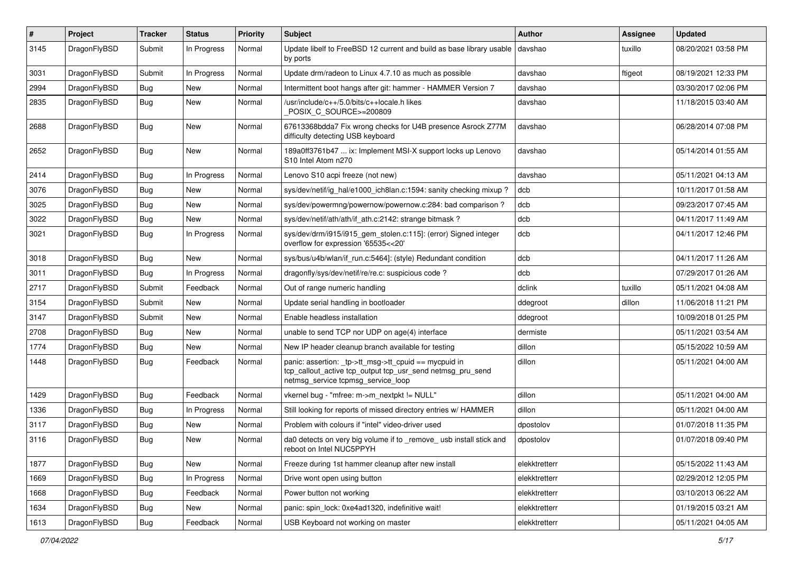| $\pmb{\#}$ | Project      | <b>Tracker</b> | <b>Status</b> | <b>Priority</b> | Subject                                                                                                                                                   | <b>Author</b> | <b>Assignee</b> | <b>Updated</b>      |
|------------|--------------|----------------|---------------|-----------------|-----------------------------------------------------------------------------------------------------------------------------------------------------------|---------------|-----------------|---------------------|
| 3145       | DragonFlyBSD | Submit         | In Progress   | Normal          | Update libelf to FreeBSD 12 current and build as base library usable<br>by ports                                                                          | davshao       | tuxillo         | 08/20/2021 03:58 PM |
| 3031       | DragonFlyBSD | Submit         | In Progress   | Normal          | Update drm/radeon to Linux 4.7.10 as much as possible                                                                                                     | davshao       | ftigeot         | 08/19/2021 12:33 PM |
| 2994       | DragonFlyBSD | Bug            | New           | Normal          | Intermittent boot hangs after git: hammer - HAMMER Version 7                                                                                              | davshao       |                 | 03/30/2017 02:06 PM |
| 2835       | DragonFlyBSD | <b>Bug</b>     | New           | Normal          | /usr/include/c++/5.0/bits/c++locale.h likes<br>POSIX C SOURCE>=200809                                                                                     | davshao       |                 | 11/18/2015 03:40 AM |
| 2688       | DragonFlyBSD | Bug            | New           | Normal          | 67613368bdda7 Fix wrong checks for U4B presence Asrock Z77M<br>difficulty detecting USB keyboard                                                          | davshao       |                 | 06/28/2014 07:08 PM |
| 2652       | DragonFlyBSD | Bug            | New           | Normal          | 189a0ff3761b47  ix: Implement MSI-X support locks up Lenovo<br>S10 Intel Atom n270                                                                        | davshao       |                 | 05/14/2014 01:55 AM |
| 2414       | DragonFlyBSD | <b>Bug</b>     | In Progress   | Normal          | Lenovo S10 acpi freeze (not new)                                                                                                                          | davshao       |                 | 05/11/2021 04:13 AM |
| 3076       | DragonFlyBSD | Bug            | New           | Normal          | sys/dev/netif/ig hal/e1000 ich8lan.c:1594: sanity checking mixup?                                                                                         | dcb           |                 | 10/11/2017 01:58 AM |
| 3025       | DragonFlyBSD | Bug            | <b>New</b>    | Normal          | sys/dev/powermng/powernow/powernow.c:284: bad comparison?                                                                                                 | dcb           |                 | 09/23/2017 07:45 AM |
| 3022       | DragonFlyBSD | Bug            | New           | Normal          | sys/dev/netif/ath/ath/if ath.c:2142: strange bitmask?                                                                                                     | dcb           |                 | 04/11/2017 11:49 AM |
| 3021       | DragonFlyBSD | Bug            | In Progress   | Normal          | sys/dev/drm/i915/i915_gem_stolen.c:115]: (error) Signed integer<br>overflow for expression '65535<<20'                                                    | dcb           |                 | 04/11/2017 12:46 PM |
| 3018       | DragonFlyBSD | Bug            | New           | Normal          | sys/bus/u4b/wlan/if_run.c:5464]: (style) Redundant condition                                                                                              | dcb           |                 | 04/11/2017 11:26 AM |
| 3011       | DragonFlyBSD | Bug            | In Progress   | Normal          | dragonfly/sys/dev/netif/re/re.c: suspicious code?                                                                                                         | dcb           |                 | 07/29/2017 01:26 AM |
| 2717       | DragonFlyBSD | Submit         | Feedback      | Normal          | Out of range numeric handling                                                                                                                             | dclink        | tuxillo         | 05/11/2021 04:08 AM |
| 3154       | DragonFlyBSD | Submit         | New           | Normal          | Update serial handling in bootloader                                                                                                                      | ddegroot      | dillon          | 11/06/2018 11:21 PM |
| 3147       | DragonFlyBSD | Submit         | <b>New</b>    | Normal          | Enable headless installation                                                                                                                              | ddegroot      |                 | 10/09/2018 01:25 PM |
| 2708       | DragonFlyBSD | Bug            | New           | Normal          | unable to send TCP nor UDP on age(4) interface                                                                                                            | dermiste      |                 | 05/11/2021 03:54 AM |
| 1774       | DragonFlyBSD | Bug            | New           | Normal          | New IP header cleanup branch available for testing                                                                                                        | dillon        |                 | 05/15/2022 10:59 AM |
| 1448       | DragonFlyBSD | Bug            | Feedback      | Normal          | panic: assertion: _tp->tt_msg->tt_cpuid == mycpuid in<br>tcp_callout_active tcp_output tcp_usr_send netmsg_pru_send<br>netmsg_service tcpmsg_service_loop | dillon        |                 | 05/11/2021 04:00 AM |
| 1429       | DragonFlyBSD | Bug            | Feedback      | Normal          | vkernel bug - "mfree: m->m_nextpkt != NULL"                                                                                                               | dillon        |                 | 05/11/2021 04:00 AM |
| 1336       | DragonFlyBSD | Bug            | In Progress   | Normal          | Still looking for reports of missed directory entries w/ HAMMER                                                                                           | dillon        |                 | 05/11/2021 04:00 AM |
| 3117       | DragonFlyBSD | Bug            | <b>New</b>    | Normal          | Problem with colours if "intel" video-driver used                                                                                                         | dpostolov     |                 | 01/07/2018 11:35 PM |
| 3116       | DragonFlyBSD | <b>Bug</b>     | New           | Normal          | da0 detects on very big volume if to remove usb install stick and<br>reboot on Intel NUC5PPYH                                                             | dpostolov     |                 | 01/07/2018 09:40 PM |
| 1877       | DragonFlyBSD | Bug            | New           | Normal          | Freeze during 1st hammer cleanup after new install                                                                                                        | elekktretterr |                 | 05/15/2022 11:43 AM |
| 1669       | DragonFlyBSD | <b>Bug</b>     | In Progress   | Normal          | Drive wont open using button                                                                                                                              | elekktretterr |                 | 02/29/2012 12:05 PM |
| 1668       | DragonFlyBSD | Bug            | Feedback      | Normal          | Power button not working                                                                                                                                  | elekktretterr |                 | 03/10/2013 06:22 AM |
| 1634       | DragonFlyBSD | Bug            | New           | Normal          | panic: spin_lock: 0xe4ad1320, indefinitive wait!                                                                                                          | elekktretterr |                 | 01/19/2015 03:21 AM |
| 1613       | DragonFlyBSD | Bug            | Feedback      | Normal          | USB Keyboard not working on master                                                                                                                        | elekktretterr |                 | 05/11/2021 04:05 AM |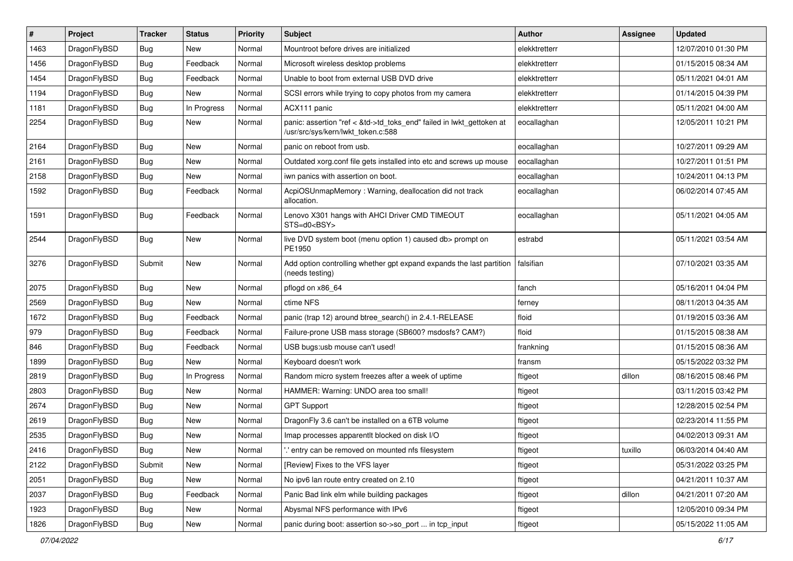| #    | Project      | <b>Tracker</b> | <b>Status</b> | <b>Priority</b> | Subject                                                                                                    | <b>Author</b> | Assignee | <b>Updated</b>      |
|------|--------------|----------------|---------------|-----------------|------------------------------------------------------------------------------------------------------------|---------------|----------|---------------------|
| 1463 | DragonFlyBSD | Bug            | New           | Normal          | Mountroot before drives are initialized                                                                    | elekktretterr |          | 12/07/2010 01:30 PM |
| 1456 | DragonFlyBSD | Bug            | Feedback      | Normal          | Microsoft wireless desktop problems                                                                        | elekktretterr |          | 01/15/2015 08:34 AM |
| 1454 | DragonFlyBSD | <b>Bug</b>     | Feedback      | Normal          | Unable to boot from external USB DVD drive                                                                 | elekktretterr |          | 05/11/2021 04:01 AM |
| 1194 | DragonFlyBSD | Bug            | New           | Normal          | SCSI errors while trying to copy photos from my camera                                                     | elekktretterr |          | 01/14/2015 04:39 PM |
| 1181 | DragonFlyBSD | Bug            | In Progress   | Normal          | ACX111 panic                                                                                               | elekktretterr |          | 05/11/2021 04:00 AM |
| 2254 | DragonFlyBSD | Bug            | <b>New</b>    | Normal          | panic: assertion "ref < &td->td_toks_end" failed in lwkt_gettoken at<br>/usr/src/sys/kern/lwkt_token.c:588 | eocallaghan   |          | 12/05/2011 10:21 PM |
| 2164 | DragonFlyBSD | Bug            | <b>New</b>    | Normal          | panic on reboot from usb.                                                                                  | eocallaghan   |          | 10/27/2011 09:29 AM |
| 2161 | DragonFlyBSD | Bug            | New           | Normal          | Outdated xorg.conf file gets installed into etc and screws up mouse                                        | eocallaghan   |          | 10/27/2011 01:51 PM |
| 2158 | DragonFlyBSD | Bug            | New           | Normal          | iwn panics with assertion on boot.                                                                         | eocallaghan   |          | 10/24/2011 04:13 PM |
| 1592 | DragonFlyBSD | Bug            | Feedback      | Normal          | AcpiOSUnmapMemory: Warning, deallocation did not track<br>allocation.                                      | eocallaghan   |          | 06/02/2014 07:45 AM |
| 1591 | DragonFlyBSD | Bug            | Feedback      | Normal          | Lenovo X301 hangs with AHCI Driver CMD TIMEOUT<br>STS=d0 <bsy></bsy>                                       | eocallaghan   |          | 05/11/2021 04:05 AM |
| 2544 | DragonFlyBSD | Bug            | New           | Normal          | live DVD system boot (menu option 1) caused db> prompt on<br>PE1950                                        | estrabd       |          | 05/11/2021 03:54 AM |
| 3276 | DragonFlyBSD | Submit         | <b>New</b>    | Normal          | Add option controlling whether gpt expand expands the last partition<br>(needs testing)                    | falsifian     |          | 07/10/2021 03:35 AM |
| 2075 | DragonFlyBSD | Bug            | <b>New</b>    | Normal          | pflogd on x86 64                                                                                           | fanch         |          | 05/16/2011 04:04 PM |
| 2569 | DragonFlyBSD | Bug            | New           | Normal          | ctime NFS                                                                                                  | ferney        |          | 08/11/2013 04:35 AM |
| 1672 | DragonFlyBSD | Bug            | Feedback      | Normal          | panic (trap 12) around btree_search() in 2.4.1-RELEASE                                                     | floid         |          | 01/19/2015 03:36 AM |
| 979  | DragonFlyBSD | Bug            | Feedback      | Normal          | Failure-prone USB mass storage (SB600? msdosfs? CAM?)                                                      | floid         |          | 01/15/2015 08:38 AM |
| 846  | DragonFlyBSD | Bug            | Feedback      | Normal          | USB bugs:usb mouse can't used!                                                                             | frankning     |          | 01/15/2015 08:36 AM |
| 1899 | DragonFlyBSD | Bug            | New           | Normal          | Keyboard doesn't work                                                                                      | fransm        |          | 05/15/2022 03:32 PM |
| 2819 | DragonFlyBSD | Bug            | In Progress   | Normal          | Random micro system freezes after a week of uptime                                                         | ftigeot       | dillon   | 08/16/2015 08:46 PM |
| 2803 | DragonFlyBSD | Bug            | New           | Normal          | HAMMER: Warning: UNDO area too small!                                                                      | ftigeot       |          | 03/11/2015 03:42 PM |
| 2674 | DragonFlyBSD | Bug            | New           | Normal          | <b>GPT Support</b>                                                                                         | ftigeot       |          | 12/28/2015 02:54 PM |
| 2619 | DragonFlyBSD | Bug            | New           | Normal          | DragonFly 3.6 can't be installed on a 6TB volume                                                           | ftigeot       |          | 02/23/2014 11:55 PM |
| 2535 | DragonFlyBSD | Bug            | New           | Normal          | Imap processes apparentlt blocked on disk I/O                                                              | ftigeot       |          | 04/02/2013 09:31 AM |
| 2416 | DragonFlyBSD | <b>Bug</b>     | New           | Normal          | ".' entry can be removed on mounted nfs filesystem                                                         | ftigeot       | tuxillo  | 06/03/2014 04:40 AM |
| 2122 | DragonFlyBSD | Submit         | New           | Normal          | [Review] Fixes to the VFS layer                                                                            | ftigeot       |          | 05/31/2022 03:25 PM |
| 2051 | DragonFlyBSD | <b>Bug</b>     | New           | Normal          | No ipv6 lan route entry created on 2.10                                                                    | ftigeot       |          | 04/21/2011 10:37 AM |
| 2037 | DragonFlyBSD | <b>Bug</b>     | Feedback      | Normal          | Panic Bad link elm while building packages                                                                 | ftigeot       | dillon   | 04/21/2011 07:20 AM |
| 1923 | DragonFlyBSD | <b>Bug</b>     | <b>New</b>    | Normal          | Abysmal NFS performance with IPv6                                                                          | ftigeot       |          | 12/05/2010 09:34 PM |
| 1826 | DragonFlyBSD | Bug            | New           | Normal          | panic during boot: assertion so->so_port  in tcp_input                                                     | ftigeot       |          | 05/15/2022 11:05 AM |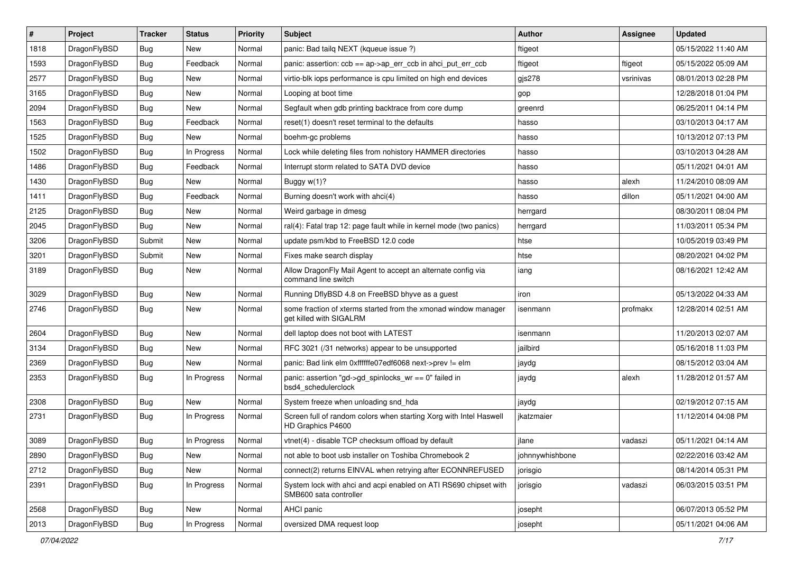| #    | Project      | <b>Tracker</b> | <b>Status</b> | <b>Priority</b> | Subject                                                                                    | <b>Author</b>   | <b>Assignee</b> | <b>Updated</b>      |
|------|--------------|----------------|---------------|-----------------|--------------------------------------------------------------------------------------------|-----------------|-----------------|---------------------|
| 1818 | DragonFlyBSD | Bug            | New           | Normal          | panic: Bad tailq NEXT (kqueue issue ?)                                                     | ftigeot         |                 | 05/15/2022 11:40 AM |
| 1593 | DragonFlyBSD | Bug            | Feedback      | Normal          | panic: assertion: ccb == ap->ap_err_ccb in ahci_put_err_ccb                                | ftigeot         | ftigeot         | 05/15/2022 05:09 AM |
| 2577 | DragonFlyBSD | Bug            | New           | Normal          | virtio-blk iops performance is cpu limited on high end devices                             | $g$ js $278$    | vsrinivas       | 08/01/2013 02:28 PM |
| 3165 | DragonFlyBSD | Bug            | New           | Normal          | Looping at boot time                                                                       | gop             |                 | 12/28/2018 01:04 PM |
| 2094 | DragonFlyBSD | Bug            | <b>New</b>    | Normal          | Segfault when gdb printing backtrace from core dump                                        | greenrd         |                 | 06/25/2011 04:14 PM |
| 1563 | DragonFlyBSD | Bug            | Feedback      | Normal          | reset(1) doesn't reset terminal to the defaults                                            | hasso           |                 | 03/10/2013 04:17 AM |
| 1525 | DragonFlyBSD | Bug            | New           | Normal          | boehm-gc problems                                                                          | hasso           |                 | 10/13/2012 07:13 PM |
| 1502 | DragonFlyBSD | Bug            | In Progress   | Normal          | Lock while deleting files from nohistory HAMMER directories                                | hasso           |                 | 03/10/2013 04:28 AM |
| 1486 | DragonFlyBSD | Bug            | Feedback      | Normal          | Interrupt storm related to SATA DVD device                                                 | hasso           |                 | 05/11/2021 04:01 AM |
| 1430 | DragonFlyBSD | Bug            | New           | Normal          | Buggy w(1)?                                                                                | hasso           | alexh           | 11/24/2010 08:09 AM |
| 1411 | DragonFlyBSD | Bug            | Feedback      | Normal          | Burning doesn't work with ahci(4)                                                          | hasso           | dillon          | 05/11/2021 04:00 AM |
| 2125 | DragonFlyBSD | Bug            | <b>New</b>    | Normal          | Weird garbage in dmesg                                                                     | herrgard        |                 | 08/30/2011 08:04 PM |
| 2045 | DragonFlyBSD | Bug            | New           | Normal          | ral(4): Fatal trap 12: page fault while in kernel mode (two panics)                        | herrgard        |                 | 11/03/2011 05:34 PM |
| 3206 | DragonFlyBSD | Submit         | <b>New</b>    | Normal          | update psm/kbd to FreeBSD 12.0 code                                                        | htse            |                 | 10/05/2019 03:49 PM |
| 3201 | DragonFlyBSD | Submit         | New           | Normal          | Fixes make search display                                                                  | htse            |                 | 08/20/2021 04:02 PM |
| 3189 | DragonFlyBSD | Bug            | New           | Normal          | Allow DragonFly Mail Agent to accept an alternate config via<br>command line switch        | iang            |                 | 08/16/2021 12:42 AM |
| 3029 | DragonFlyBSD | Bug            | <b>New</b>    | Normal          | Running DflyBSD 4.8 on FreeBSD bhyve as a guest                                            | iron            |                 | 05/13/2022 04:33 AM |
| 2746 | DragonFlyBSD | <b>Bug</b>     | New           | Normal          | some fraction of xterms started from the xmonad window manager<br>get killed with SIGALRM  | isenmann        | profmakx        | 12/28/2014 02:51 AM |
| 2604 | DragonFlyBSD | Bug            | <b>New</b>    | Normal          | dell laptop does not boot with LATEST                                                      | isenmann        |                 | 11/20/2013 02:07 AM |
| 3134 | DragonFlyBSD | Bug            | <b>New</b>    | Normal          | RFC 3021 (/31 networks) appear to be unsupported                                           | jailbird        |                 | 05/16/2018 11:03 PM |
| 2369 | DragonFlyBSD | Bug            | New           | Normal          | panic: Bad link elm 0xffffffe07edf6068 next->prev != elm                                   | jaydg           |                 | 08/15/2012 03:04 AM |
| 2353 | DragonFlyBSD | Bug            | In Progress   | Normal          | panic: assertion "gd->gd_spinlocks_wr == 0" failed in<br>bsd4_schedulerclock               | jaydg           | alexh           | 11/28/2012 01:57 AM |
| 2308 | DragonFlyBSD | Bug            | New           | Normal          | System freeze when unloading snd_hda                                                       | jaydg           |                 | 02/19/2012 07:15 AM |
| 2731 | DragonFlyBSD | <b>Bug</b>     | In Progress   | Normal          | Screen full of random colors when starting Xorg with Intel Haswell<br>HD Graphics P4600    | jkatzmaier      |                 | 11/12/2014 04:08 PM |
| 3089 | DragonFlyBSD | Bug            | In Progress   | Normal          | vtnet(4) - disable TCP checksum offload by default                                         | jlane           | vadaszi         | 05/11/2021 04:14 AM |
| 2890 | DragonFlyBSD | <b>Bug</b>     | New           | Normal          | not able to boot usb installer on Toshiba Chromebook 2                                     | johnnywhishbone |                 | 02/22/2016 03:42 AM |
| 2712 | DragonFlyBSD | <b>Bug</b>     | New           | Normal          | connect(2) returns EINVAL when retrying after ECONNREFUSED                                 | jorisgio        |                 | 08/14/2014 05:31 PM |
| 2391 | DragonFlyBSD | <b>Bug</b>     | In Progress   | Normal          | System lock with ahci and acpi enabled on ATI RS690 chipset with<br>SMB600 sata controller | jorisgio        | vadaszi         | 06/03/2015 03:51 PM |
| 2568 | DragonFlyBSD | <b>Bug</b>     | <b>New</b>    | Normal          | AHCI panic                                                                                 | josepht         |                 | 06/07/2013 05:52 PM |
| 2013 | DragonFlyBSD | <b>Bug</b>     | In Progress   | Normal          | oversized DMA request loop                                                                 | josepht         |                 | 05/11/2021 04:06 AM |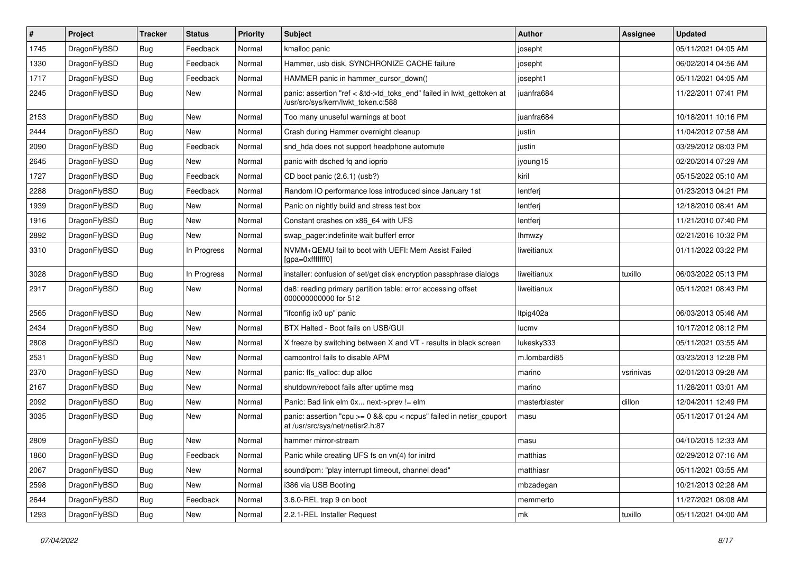| #    | Project      | <b>Tracker</b> | <b>Status</b> | <b>Priority</b> | Subject                                                                                                    | Author        | Assignee  | <b>Updated</b>      |
|------|--------------|----------------|---------------|-----------------|------------------------------------------------------------------------------------------------------------|---------------|-----------|---------------------|
| 1745 | DragonFlyBSD | Bug            | Feedback      | Normal          | kmalloc panic                                                                                              | josepht       |           | 05/11/2021 04:05 AM |
| 1330 | DragonFlyBSD | Bug            | Feedback      | Normal          | Hammer, usb disk, SYNCHRONIZE CACHE failure                                                                | josepht       |           | 06/02/2014 04:56 AM |
| 1717 | DragonFlyBSD | <b>Bug</b>     | Feedback      | Normal          | HAMMER panic in hammer cursor down()                                                                       | josepht1      |           | 05/11/2021 04:05 AM |
| 2245 | DragonFlyBSD | Bug            | New           | Normal          | panic: assertion "ref < &td->td_toks_end" failed in lwkt_gettoken at<br>/usr/src/sys/kern/lwkt_token.c:588 | juanfra684    |           | 11/22/2011 07:41 PM |
| 2153 | DragonFlyBSD | Bug            | <b>New</b>    | Normal          | Too many unuseful warnings at boot                                                                         | juanfra684    |           | 10/18/2011 10:16 PM |
| 2444 | DragonFlyBSD | Bug            | New           | Normal          | Crash during Hammer overnight cleanup                                                                      | justin        |           | 11/04/2012 07:58 AM |
| 2090 | DragonFlyBSD | <b>Bug</b>     | Feedback      | Normal          | snd_hda does not support headphone automute                                                                | justin        |           | 03/29/2012 08:03 PM |
| 2645 | DragonFlyBSD | <b>Bug</b>     | New           | Normal          | panic with dsched fq and ioprio                                                                            | jyoung15      |           | 02/20/2014 07:29 AM |
| 1727 | DragonFlyBSD | Bug            | Feedback      | Normal          | CD boot panic (2.6.1) (usb?)                                                                               | kiril         |           | 05/15/2022 05:10 AM |
| 2288 | DragonFlyBSD | <b>Bug</b>     | Feedback      | Normal          | Random IO performance loss introduced since January 1st                                                    | lentferj      |           | 01/23/2013 04:21 PM |
| 1939 | DragonFlyBSD | Bug            | <b>New</b>    | Normal          | Panic on nightly build and stress test box                                                                 | lentferj      |           | 12/18/2010 08:41 AM |
| 1916 | DragonFlyBSD | <b>Bug</b>     | New           | Normal          | Constant crashes on x86 64 with UFS                                                                        | lentferj      |           | 11/21/2010 07:40 PM |
| 2892 | DragonFlyBSD | <b>Bug</b>     | <b>New</b>    | Normal          | swap pager:indefinite wait bufferf error                                                                   | <b>Ihmwzy</b> |           | 02/21/2016 10:32 PM |
| 3310 | DragonFlyBSD | Bug            | In Progress   | Normal          | NVMM+QEMU fail to boot with UEFI: Mem Assist Failed<br>[gpa=0xfffffff0]                                    | liweitianux   |           | 01/11/2022 03:22 PM |
| 3028 | DragonFlyBSD | Bug            | In Progress   | Normal          | installer: confusion of set/get disk encryption passphrase dialogs                                         | liweitianux   | tuxillo   | 06/03/2022 05:13 PM |
| 2917 | DragonFlyBSD | Bug            | New           | Normal          | da8: reading primary partition table: error accessing offset<br>000000000000 for 512                       | liweitianux   |           | 05/11/2021 08:43 PM |
| 2565 | DragonFlyBSD | Bug            | New           | Normal          | "ifconfig ix0 up" panic                                                                                    | Itpig402a     |           | 06/03/2013 05:46 AM |
| 2434 | DragonFlyBSD | <b>Bug</b>     | New           | Normal          | BTX Halted - Boot fails on USB/GUI                                                                         | lucmv         |           | 10/17/2012 08:12 PM |
| 2808 | DragonFlyBSD | Bug            | <b>New</b>    | Normal          | X freeze by switching between X and VT - results in black screen                                           | lukesky333    |           | 05/11/2021 03:55 AM |
| 2531 | DragonFlyBSD | Bug            | <b>New</b>    | Normal          | camcontrol fails to disable APM                                                                            | m.lombardi85  |           | 03/23/2013 12:28 PM |
| 2370 | DragonFlyBSD | <b>Bug</b>     | <b>New</b>    | Normal          | panic: ffs_valloc: dup alloc                                                                               | marino        | vsrinivas | 02/01/2013 09:28 AM |
| 2167 | DragonFlyBSD | Bug            | <b>New</b>    | Normal          | shutdown/reboot fails after uptime msg                                                                     | marino        |           | 11/28/2011 03:01 AM |
| 2092 | DragonFlyBSD | <b>Bug</b>     | <b>New</b>    | Normal          | Panic: Bad link elm 0x next->prev != elm                                                                   | masterblaster | dillon    | 12/04/2011 12:49 PM |
| 3035 | DragonFlyBSD | Bug            | New           | Normal          | panic: assertion "cpu >= 0 && cpu < ncpus" failed in netisr_cpuport<br>at /usr/src/sys/net/netisr2.h:87    | masu          |           | 05/11/2017 01:24 AM |
| 2809 | DragonFlyBSD | <b>Bug</b>     | New           | Normal          | hammer mirror-stream                                                                                       | masu          |           | 04/10/2015 12:33 AM |
| 1860 | DragonFlyBSD | <b>Bug</b>     | Feedback      | Normal          | Panic while creating UFS fs on vn(4) for initrd                                                            | matthias      |           | 02/29/2012 07:16 AM |
| 2067 | DragonFlyBSD | <b>Bug</b>     | New           | Normal          | sound/pcm: "play interrupt timeout, channel dead"                                                          | matthiasr     |           | 05/11/2021 03:55 AM |
| 2598 | DragonFlyBSD | <b>Bug</b>     | New           | Normal          | i386 via USB Booting                                                                                       | mbzadegan     |           | 10/21/2013 02:28 AM |
| 2644 | DragonFlyBSD | <b>Bug</b>     | Feedback      | Normal          | 3.6.0-REL trap 9 on boot                                                                                   | memmerto      |           | 11/27/2021 08:08 AM |
| 1293 | DragonFlyBSD | Bug            | New           | Normal          | 2.2.1-REL Installer Request                                                                                | mk            | tuxillo   | 05/11/2021 04:00 AM |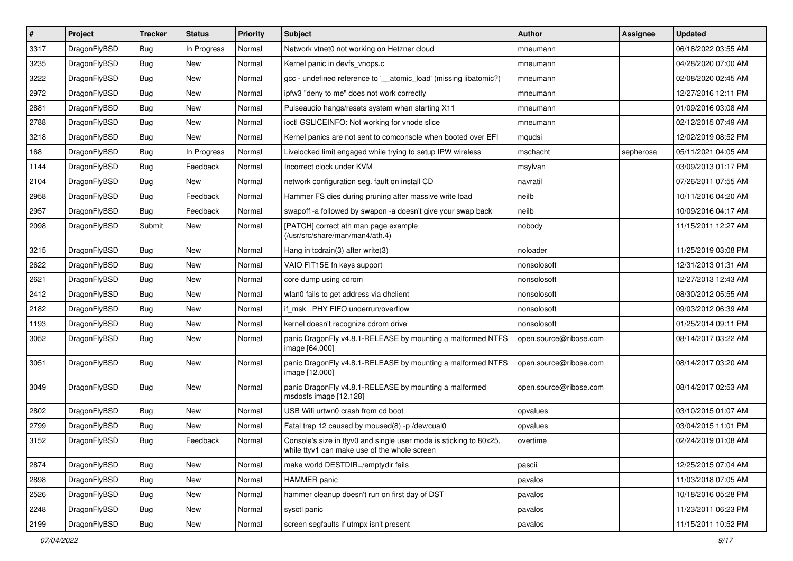| $\pmb{\#}$ | Project      | <b>Tracker</b> | <b>Status</b> | <b>Priority</b> | Subject                                                                                                            | <b>Author</b>          | Assignee  | <b>Updated</b>      |
|------------|--------------|----------------|---------------|-----------------|--------------------------------------------------------------------------------------------------------------------|------------------------|-----------|---------------------|
| 3317       | DragonFlyBSD | Bug            | In Progress   | Normal          | Network vtnet0 not working on Hetzner cloud                                                                        | mneumann               |           | 06/18/2022 03:55 AM |
| 3235       | DragonFlyBSD | Bug            | <b>New</b>    | Normal          | Kernel panic in devfs vnops.c                                                                                      | mneumann               |           | 04/28/2020 07:00 AM |
| 3222       | DragonFlyBSD | Bug            | New           | Normal          | gcc - undefined reference to '__atomic_load' (missing libatomic?)                                                  | mneumann               |           | 02/08/2020 02:45 AM |
| 2972       | DragonFlyBSD | Bug            | <b>New</b>    | Normal          | ipfw3 "deny to me" does not work correctly                                                                         | mneumann               |           | 12/27/2016 12:11 PM |
| 2881       | DragonFlyBSD | Bug            | <b>New</b>    | Normal          | Pulseaudio hangs/resets system when starting X11                                                                   | mneumann               |           | 01/09/2016 03:08 AM |
| 2788       | DragonFlyBSD | Bug            | New           | Normal          | ioctl GSLICEINFO: Not working for vnode slice                                                                      | mneumann               |           | 02/12/2015 07:49 AM |
| 3218       | DragonFlyBSD | Bug            | New           | Normal          | Kernel panics are not sent to comconsole when booted over EFI                                                      | mqudsi                 |           | 12/02/2019 08:52 PM |
| 168        | DragonFlyBSD | Bug            | In Progress   | Normal          | Livelocked limit engaged while trying to setup IPW wireless                                                        | mschacht               | sepherosa | 05/11/2021 04:05 AM |
| 1144       | DragonFlyBSD | Bug            | Feedback      | Normal          | Incorrect clock under KVM                                                                                          | msylvan                |           | 03/09/2013 01:17 PM |
| 2104       | DragonFlyBSD | Bug            | <b>New</b>    | Normal          | network configuration seg. fault on install CD                                                                     | navratil               |           | 07/26/2011 07:55 AM |
| 2958       | DragonFlyBSD | Bug            | Feedback      | Normal          | Hammer FS dies during pruning after massive write load                                                             | neilb                  |           | 10/11/2016 04:20 AM |
| 2957       | DragonFlyBSD | Bug            | Feedback      | Normal          | swapoff -a followed by swapon -a doesn't give your swap back                                                       | neilb                  |           | 10/09/2016 04:17 AM |
| 2098       | DragonFlyBSD | Submit         | New           | Normal          | [PATCH] correct ath man page example<br>(/usr/src/share/man/man4/ath.4)                                            | nobody                 |           | 11/15/2011 12:27 AM |
| 3215       | DragonFlyBSD | Bug            | <b>New</b>    | Normal          | Hang in tcdrain(3) after write(3)                                                                                  | noloader               |           | 11/25/2019 03:08 PM |
| 2622       | DragonFlyBSD | Bug            | New           | Normal          | VAIO FIT15E fn keys support                                                                                        | nonsolosoft            |           | 12/31/2013 01:31 AM |
| 2621       | DragonFlyBSD | Bug            | New           | Normal          | core dump using cdrom                                                                                              | nonsolosoft            |           | 12/27/2013 12:43 AM |
| 2412       | DragonFlyBSD | Bug            | <b>New</b>    | Normal          | wlan0 fails to get address via dhclient                                                                            | nonsolosoft            |           | 08/30/2012 05:55 AM |
| 2182       | DragonFlyBSD | Bug            | New           | Normal          | if_msk PHY FIFO underrun/overflow                                                                                  | nonsolosoft            |           | 09/03/2012 06:39 AM |
| 1193       | DragonFlyBSD | Bug            | <b>New</b>    | Normal          | kernel doesn't recognize cdrom drive                                                                               | nonsolosoft            |           | 01/25/2014 09:11 PM |
| 3052       | DragonFlyBSD | Bug            | New           | Normal          | panic DragonFly v4.8.1-RELEASE by mounting a malformed NTFS<br>image [64.000]                                      | open.source@ribose.com |           | 08/14/2017 03:22 AM |
| 3051       | DragonFlyBSD | Bug            | <b>New</b>    | Normal          | panic DragonFly v4.8.1-RELEASE by mounting a malformed NTFS<br>image [12.000]                                      | open.source@ribose.com |           | 08/14/2017 03:20 AM |
| 3049       | DragonFlyBSD | Bug            | New           | Normal          | panic DragonFly v4.8.1-RELEASE by mounting a malformed<br>msdosfs image [12.128]                                   | open.source@ribose.com |           | 08/14/2017 02:53 AM |
| 2802       | DragonFlyBSD | Bug            | <b>New</b>    | Normal          | USB Wifi urtwn0 crash from cd boot                                                                                 | opvalues               |           | 03/10/2015 01:07 AM |
| 2799       | DragonFlyBSD | Bug            | <b>New</b>    | Normal          | Fatal trap 12 caused by moused(8) -p/dev/cual0                                                                     | opvalues               |           | 03/04/2015 11:01 PM |
| 3152       | DragonFlyBSD | <b>Bug</b>     | Feedback      | Normal          | Console's size in ttyv0 and single user mode is sticking to 80x25,<br>while ttyv1 can make use of the whole screen | overtime               |           | 02/24/2019 01:08 AM |
| 2874       | DragonFlyBSD | <b>Bug</b>     | New           | Normal          | make world DESTDIR=/emptydir fails                                                                                 | pascii                 |           | 12/25/2015 07:04 AM |
| 2898       | DragonFlyBSD | <b>Bug</b>     | New           | Normal          | <b>HAMMER</b> panic                                                                                                | pavalos                |           | 11/03/2018 07:05 AM |
| 2526       | DragonFlyBSD | <b>Bug</b>     | New           | Normal          | hammer cleanup doesn't run on first day of DST                                                                     | pavalos                |           | 10/18/2016 05:28 PM |
| 2248       | DragonFlyBSD | <b>Bug</b>     | New           | Normal          | sysctl panic                                                                                                       | pavalos                |           | 11/23/2011 06:23 PM |
| 2199       | DragonFlyBSD | <b>Bug</b>     | New           | Normal          | screen segfaults if utmpx isn't present                                                                            | pavalos                |           | 11/15/2011 10:52 PM |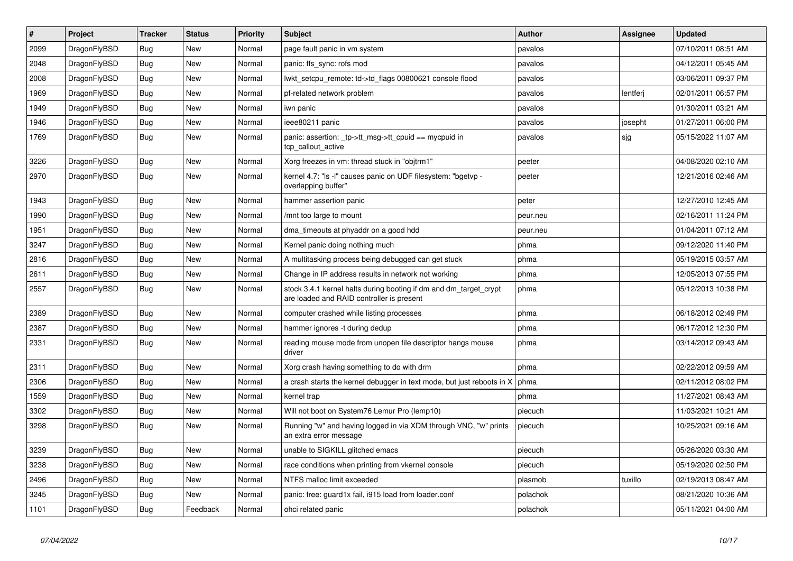| $\vert$ # | <b>Project</b> | <b>Tracker</b> | <b>Status</b> | <b>Priority</b> | <b>Subject</b>                                                                                                 | Author   | Assignee | <b>Updated</b>      |
|-----------|----------------|----------------|---------------|-----------------|----------------------------------------------------------------------------------------------------------------|----------|----------|---------------------|
| 2099      | DragonFlyBSD   | <b>Bug</b>     | <b>New</b>    | Normal          | page fault panic in vm system                                                                                  | pavalos  |          | 07/10/2011 08:51 AM |
| 2048      | DragonFlyBSD   | <b>Bug</b>     | New           | Normal          | panic: ffs sync: rofs mod                                                                                      | pavalos  |          | 04/12/2011 05:45 AM |
| 2008      | DragonFlyBSD   | <b>Bug</b>     | <b>New</b>    | Normal          | lwkt_setcpu_remote: td->td_flags 00800621 console flood                                                        | pavalos  |          | 03/06/2011 09:37 PM |
| 1969      | DragonFlyBSD   | Bug            | New           | Normal          | pf-related network problem                                                                                     | pavalos  | lentferj | 02/01/2011 06:57 PM |
| 1949      | DragonFlyBSD   | Bug            | <b>New</b>    | Normal          | iwn panic                                                                                                      | pavalos  |          | 01/30/2011 03:21 AM |
| 1946      | DragonFlyBSD   | Bug            | <b>New</b>    | Normal          | ieee80211 panic                                                                                                | pavalos  | josepht  | 01/27/2011 06:00 PM |
| 1769      | DragonFlyBSD   | <b>Bug</b>     | New           | Normal          | panic: assertion: _tp->tt_msg->tt_cpuid == mycpuid in<br>tcp callout active                                    | pavalos  | sjg      | 05/15/2022 11:07 AM |
| 3226      | DragonFlyBSD   | <b>Bug</b>     | <b>New</b>    | Normal          | Xorg freezes in vm: thread stuck in "objtrm1"                                                                  | peeter   |          | 04/08/2020 02:10 AM |
| 2970      | DragonFlyBSD   | Bug            | New           | Normal          | kernel 4.7: "Is -I" causes panic on UDF filesystem: "bgetvp -<br>overlapping buffer"                           | peeter   |          | 12/21/2016 02:46 AM |
| 1943      | DragonFlyBSD   | <b>Bug</b>     | <b>New</b>    | Normal          | hammer assertion panic                                                                                         | peter    |          | 12/27/2010 12:45 AM |
| 1990      | DragonFlyBSD   | <b>Bug</b>     | <b>New</b>    | Normal          | /mnt too large to mount                                                                                        | peur.neu |          | 02/16/2011 11:24 PM |
| 1951      | DragonFlyBSD   | Bug            | <b>New</b>    | Normal          | dma timeouts at phyaddr on a good hdd                                                                          | peur.neu |          | 01/04/2011 07:12 AM |
| 3247      | DragonFlyBSD   | <b>Bug</b>     | <b>New</b>    | Normal          | Kernel panic doing nothing much                                                                                | phma     |          | 09/12/2020 11:40 PM |
| 2816      | DragonFlyBSD   | <b>Bug</b>     | <b>New</b>    | Normal          | A multitasking process being debugged can get stuck                                                            | phma     |          | 05/19/2015 03:57 AM |
| 2611      | DragonFlyBSD   | <b>Bug</b>     | <b>New</b>    | Normal          | Change in IP address results in network not working                                                            | phma     |          | 12/05/2013 07:55 PM |
| 2557      | DragonFlyBSD   | Bug            | <b>New</b>    | Normal          | stock 3.4.1 kernel halts during booting if dm and dm_target_crypt<br>are loaded and RAID controller is present | phma     |          | 05/12/2013 10:38 PM |
| 2389      | DragonFlyBSD   | Bug            | <b>New</b>    | Normal          | computer crashed while listing processes                                                                       | phma     |          | 06/18/2012 02:49 PM |
| 2387      | DragonFlyBSD   | <b>Bug</b>     | <b>New</b>    | Normal          | hammer ignores -t during dedup                                                                                 | phma     |          | 06/17/2012 12:30 PM |
| 2331      | DragonFlyBSD   | Bug            | New           | Normal          | reading mouse mode from unopen file descriptor hangs mouse<br>driver                                           | phma     |          | 03/14/2012 09:43 AM |
| 2311      | DragonFlyBSD   | Bug            | <b>New</b>    | Normal          | Xorg crash having something to do with drm                                                                     | phma     |          | 02/22/2012 09:59 AM |
| 2306      | DragonFlyBSD   | <b>Bug</b>     | New           | Normal          | a crash starts the kernel debugger in text mode, but just reboots in X                                         | phma     |          | 02/11/2012 08:02 PM |
| 1559      | DragonFlyBSD   | <b>Bug</b>     | <b>New</b>    | Normal          | kernel trap                                                                                                    | phma     |          | 11/27/2021 08:43 AM |
| 3302      | DragonFlyBSD   | Bug            | New           | Normal          | Will not boot on System76 Lemur Pro (lemp10)                                                                   | piecuch  |          | 11/03/2021 10:21 AM |
| 3298      | DragonFlyBSD   | <b>Bug</b>     | New           | Normal          | Running "w" and having logged in via XDM through VNC, "w" prints<br>an extra error message                     | piecuch  |          | 10/25/2021 09:16 AM |
| 3239      | DragonFlyBSD   | <b>Bug</b>     | <b>New</b>    | Normal          | unable to SIGKILL glitched emacs                                                                               | piecuch  |          | 05/26/2020 03:30 AM |
| 3238      | DragonFlyBSD   | <b>Bug</b>     | <b>New</b>    | Normal          | race conditions when printing from vkernel console                                                             | piecuch  |          | 05/19/2020 02:50 PM |
| 2496      | DragonFlyBSD   | Bug            | New           | Normal          | NTFS malloc limit exceeded                                                                                     | plasmob  | tuxillo  | 02/19/2013 08:47 AM |
| 3245      | DragonFlyBSD   | Bug            | New           | Normal          | panic: free: guard1x fail, i915 load from loader.conf                                                          | polachok |          | 08/21/2020 10:36 AM |
| 1101      | DragonFlyBSD   | <b>Bug</b>     | Feedback      | Normal          | ohci related panic                                                                                             | polachok |          | 05/11/2021 04:00 AM |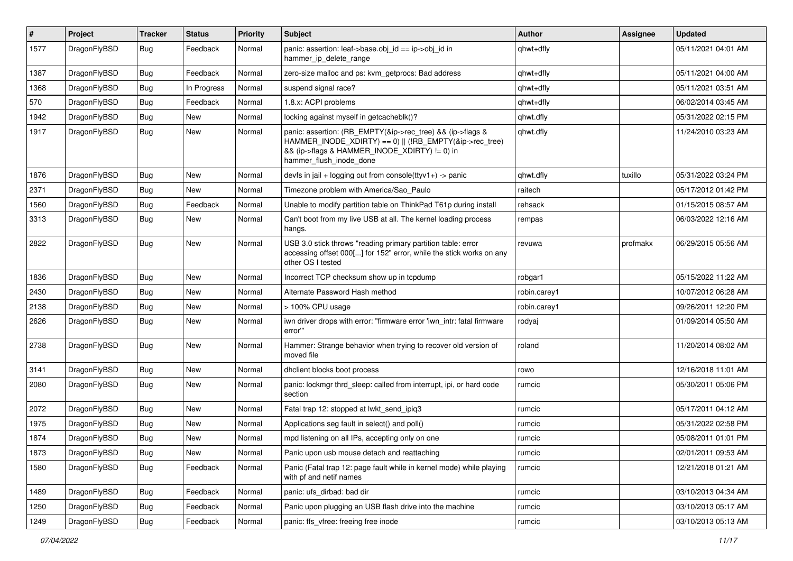| #    | Project      | <b>Tracker</b> | <b>Status</b> | <b>Priority</b> | Subject                                                                                                                                                                                           | <b>Author</b> | <b>Assignee</b> | <b>Updated</b>      |
|------|--------------|----------------|---------------|-----------------|---------------------------------------------------------------------------------------------------------------------------------------------------------------------------------------------------|---------------|-----------------|---------------------|
| 1577 | DragonFlyBSD | Bug            | Feedback      | Normal          | panic: assertion: leaf->base.obj_id == ip->obj_id in<br>hammer_ip_delete_range                                                                                                                    | qhwt+dfly     |                 | 05/11/2021 04:01 AM |
| 1387 | DragonFlyBSD | <b>Bug</b>     | Feedback      | Normal          | zero-size malloc and ps: kvm getprocs: Bad address                                                                                                                                                | qhwt+dfly     |                 | 05/11/2021 04:00 AM |
| 1368 | DragonFlyBSD | Bug            | In Progress   | Normal          | suspend signal race?                                                                                                                                                                              | qhwt+dfly     |                 | 05/11/2021 03:51 AM |
| 570  | DragonFlyBSD | <b>Bug</b>     | Feedback      | Normal          | 1.8.x: ACPI problems                                                                                                                                                                              | qhwt+dfly     |                 | 06/02/2014 03:45 AM |
| 1942 | DragonFlyBSD | <b>Bug</b>     | <b>New</b>    | Normal          | locking against myself in getcacheblk()?                                                                                                                                                          | qhwt.dfly     |                 | 05/31/2022 02:15 PM |
| 1917 | DragonFlyBSD | <b>Bug</b>     | New           | Normal          | panic: assertion: (RB_EMPTY(&ip->rec_tree) && (ip->flags &<br>HAMMER INODE XDIRTY) == 0)    (!RB EMPTY(&ip->rec tree)<br>&& (ip->flags & HAMMER_INODE_XDIRTY) != 0) in<br>hammer_flush_inode_done | qhwt.dfly     |                 | 11/24/2010 03:23 AM |
| 1876 | DragonFlyBSD | <b>Bug</b>     | <b>New</b>    | Normal          | devfs in $ ail + logging$ out from console(ttyv1+) -> panic                                                                                                                                       | qhwt.dfly     | tuxillo         | 05/31/2022 03:24 PM |
| 2371 | DragonFlyBSD | <b>Bug</b>     | New           | Normal          | Timezone problem with America/Sao Paulo                                                                                                                                                           | raitech       |                 | 05/17/2012 01:42 PM |
| 1560 | DragonFlyBSD | <b>Bug</b>     | Feedback      | Normal          | Unable to modify partition table on ThinkPad T61p during install                                                                                                                                  | rehsack       |                 | 01/15/2015 08:57 AM |
| 3313 | DragonFlyBSD | Bug            | New           | Normal          | Can't boot from my live USB at all. The kernel loading process<br>hangs.                                                                                                                          | rempas        |                 | 06/03/2022 12:16 AM |
| 2822 | DragonFlyBSD | <b>Bug</b>     | New           | Normal          | USB 3.0 stick throws "reading primary partition table: error<br>accessing offset 000[] for 152" error, while the stick works on any<br>other OS I tested                                          | revuwa        | profmakx        | 06/29/2015 05:56 AM |
| 1836 | DragonFlyBSD | <b>Bug</b>     | <b>New</b>    | Normal          | Incorrect TCP checksum show up in tcpdump                                                                                                                                                         | robgar1       |                 | 05/15/2022 11:22 AM |
| 2430 | DragonFlyBSD | <b>Bug</b>     | <b>New</b>    | Normal          | Alternate Password Hash method                                                                                                                                                                    | robin.carey1  |                 | 10/07/2012 06:28 AM |
| 2138 | DragonFlyBSD | <b>Bug</b>     | <b>New</b>    | Normal          | > 100% CPU usage                                                                                                                                                                                  | robin.carey1  |                 | 09/26/2011 12:20 PM |
| 2626 | DragonFlyBSD | <b>Bug</b>     | <b>New</b>    | Normal          | iwn driver drops with error: "firmware error 'iwn intr: fatal firmware<br>error""                                                                                                                 | rodyaj        |                 | 01/09/2014 05:50 AM |
| 2738 | DragonFlyBSD | Bug            | <b>New</b>    | Normal          | Hammer: Strange behavior when trying to recover old version of<br>moved file                                                                                                                      | roland        |                 | 11/20/2014 08:02 AM |
| 3141 | DragonFlyBSD | Bug            | <b>New</b>    | Normal          | dhclient blocks boot process                                                                                                                                                                      | rowo          |                 | 12/16/2018 11:01 AM |
| 2080 | DragonFlyBSD | <b>Bug</b>     | New           | Normal          | panic: lockmgr thrd_sleep: called from interrupt, ipi, or hard code<br>section                                                                                                                    | rumcic        |                 | 05/30/2011 05:06 PM |
| 2072 | DragonFlyBSD | Bug            | <b>New</b>    | Normal          | Fatal trap 12: stopped at lwkt_send_ipiq3                                                                                                                                                         | rumcic        |                 | 05/17/2011 04:12 AM |
| 1975 | DragonFlyBSD | <b>Bug</b>     | New           | Normal          | Applications seg fault in select() and poll()                                                                                                                                                     | rumcic        |                 | 05/31/2022 02:58 PM |
| 1874 | DragonFlyBSD | Bug            | New           | Normal          | mpd listening on all IPs, accepting only on one                                                                                                                                                   | rumcic        |                 | 05/08/2011 01:01 PM |
| 1873 | DragonFlyBSD | Bug            | New           | Normal          | Panic upon usb mouse detach and reattaching                                                                                                                                                       | rumcic        |                 | 02/01/2011 09:53 AM |
| 1580 | DragonFlyBSD | <b>Bug</b>     | Feedback      | Normal          | Panic (Fatal trap 12: page fault while in kernel mode) while playing<br>with pf and netif names                                                                                                   | rumcic        |                 | 12/21/2018 01:21 AM |
| 1489 | DragonFlyBSD | <b>Bug</b>     | Feedback      | Normal          | panic: ufs_dirbad: bad dir                                                                                                                                                                        | rumcic        |                 | 03/10/2013 04:34 AM |
| 1250 | DragonFlyBSD | <b>Bug</b>     | Feedback      | Normal          | Panic upon plugging an USB flash drive into the machine                                                                                                                                           | rumcic        |                 | 03/10/2013 05:17 AM |
| 1249 | DragonFlyBSD | <b>Bug</b>     | Feedback      | Normal          | panic: ffs_vfree: freeing free inode                                                                                                                                                              | rumcic        |                 | 03/10/2013 05:13 AM |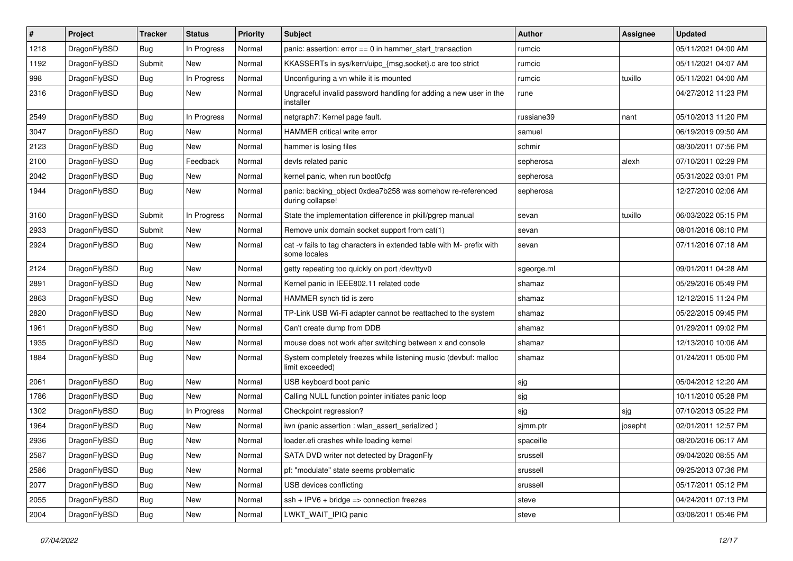| $\sharp$ | Project      | <b>Tracker</b> | <b>Status</b> | <b>Priority</b> | Subject                                                                              | <b>Author</b> | Assignee | <b>Updated</b>      |
|----------|--------------|----------------|---------------|-----------------|--------------------------------------------------------------------------------------|---------------|----------|---------------------|
| 1218     | DragonFlyBSD | Bug            | In Progress   | Normal          | panic: assertion: error == 0 in hammer_start_transaction                             | rumcic        |          | 05/11/2021 04:00 AM |
| 1192     | DragonFlyBSD | Submit         | <b>New</b>    | Normal          | KKASSERTs in sys/kern/uipc_{msg,socket}.c are too strict                             | rumcic        |          | 05/11/2021 04:07 AM |
| 998      | DragonFlyBSD | Bug            | In Progress   | Normal          | Unconfiguring a vn while it is mounted                                               | rumcic        | tuxillo  | 05/11/2021 04:00 AM |
| 2316     | DragonFlyBSD | Bug            | New           | Normal          | Ungraceful invalid password handling for adding a new user in the<br>installer       | rune          |          | 04/27/2012 11:23 PM |
| 2549     | DragonFlyBSD | Bug            | In Progress   | Normal          | netgraph7: Kernel page fault.                                                        | russiane39    | nant     | 05/10/2013 11:20 PM |
| 3047     | DragonFlyBSD | Bug            | <b>New</b>    | Normal          | HAMMER critical write error                                                          | samuel        |          | 06/19/2019 09:50 AM |
| 2123     | DragonFlyBSD | Bug            | New           | Normal          | hammer is losing files                                                               | schmir        |          | 08/30/2011 07:56 PM |
| 2100     | DragonFlyBSD | Bug            | Feedback      | Normal          | devfs related panic                                                                  | sepherosa     | alexh    | 07/10/2011 02:29 PM |
| 2042     | DragonFlyBSD | Bug            | New           | Normal          | kernel panic, when run boot0cfg                                                      | sepherosa     |          | 05/31/2022 03:01 PM |
| 1944     | DragonFlyBSD | <b>Bug</b>     | New           | Normal          | panic: backing_object 0xdea7b258 was somehow re-referenced<br>during collapse!       | sepherosa     |          | 12/27/2010 02:06 AM |
| 3160     | DragonFlyBSD | Submit         | In Progress   | Normal          | State the implementation difference in pkill/pgrep manual                            | sevan         | tuxillo  | 06/03/2022 05:15 PM |
| 2933     | DragonFlyBSD | Submit         | New           | Normal          | Remove unix domain socket support from cat(1)                                        | sevan         |          | 08/01/2016 08:10 PM |
| 2924     | DragonFlyBSD | <b>Bug</b>     | New           | Normal          | cat -v fails to tag characters in extended table with M- prefix with<br>some locales | sevan         |          | 07/11/2016 07:18 AM |
| 2124     | DragonFlyBSD | Bug            | <b>New</b>    | Normal          | getty repeating too quickly on port /dev/ttyv0                                       | sgeorge.ml    |          | 09/01/2011 04:28 AM |
| 2891     | DragonFlyBSD | Bug            | <b>New</b>    | Normal          | Kernel panic in IEEE802.11 related code                                              | shamaz        |          | 05/29/2016 05:49 PM |
| 2863     | DragonFlyBSD | Bug            | New           | Normal          | HAMMER synch tid is zero                                                             | shamaz        |          | 12/12/2015 11:24 PM |
| 2820     | DragonFlyBSD | Bug            | <b>New</b>    | Normal          | TP-Link USB Wi-Fi adapter cannot be reattached to the system                         | shamaz        |          | 05/22/2015 09:45 PM |
| 1961     | DragonFlyBSD | Bug            | <b>New</b>    | Normal          | Can't create dump from DDB                                                           | shamaz        |          | 01/29/2011 09:02 PM |
| 1935     | DragonFlyBSD | Bug            | New           | Normal          | mouse does not work after switching between x and console                            | shamaz        |          | 12/13/2010 10:06 AM |
| 1884     | DragonFlyBSD | Bug            | New           | Normal          | System completely freezes while listening music (devbuf: malloc<br>limit exceeded)   | shamaz        |          | 01/24/2011 05:00 PM |
| 2061     | DragonFlyBSD | Bug            | New           | Normal          | USB keyboard boot panic                                                              | sjg           |          | 05/04/2012 12:20 AM |
| 1786     | DragonFlyBSD | Bug            | New           | Normal          | Calling NULL function pointer initiates panic loop                                   | sjg           |          | 10/11/2010 05:28 PM |
| 1302     | DragonFlyBSD | Bug            | In Progress   | Normal          | Checkpoint regression?                                                               | sjg           | sjg      | 07/10/2013 05:22 PM |
| 1964     | DragonFlyBSD | Bug            | New           | Normal          | iwn (panic assertion : wlan_assert_serialized)                                       | sjmm.ptr      | josepht  | 02/01/2011 12:57 PM |
| 2936     | DragonFlyBSD | Bug            | <b>New</b>    | Normal          | loader.efi crashes while loading kernel                                              | spaceille     |          | 08/20/2016 06:17 AM |
| 2587     | DragonFlyBSD | <b>Bug</b>     | New           | Normal          | SATA DVD writer not detected by DragonFly                                            | srussell      |          | 09/04/2020 08:55 AM |
| 2586     | DragonFlyBSD | <b>Bug</b>     | <b>New</b>    | Normal          | pf: "modulate" state seems problematic                                               | srussell      |          | 09/25/2013 07:36 PM |
| 2077     | DragonFlyBSD | <b>Bug</b>     | New           | Normal          | USB devices conflicting                                                              | srussell      |          | 05/17/2011 05:12 PM |
| 2055     | DragonFlyBSD | <b>Bug</b>     | New           | Normal          | ssh + IPV6 + bridge => connection freezes                                            | steve         |          | 04/24/2011 07:13 PM |
| 2004     | DragonFlyBSD | <b>Bug</b>     | New           | Normal          | LWKT_WAIT_IPIQ panic                                                                 | steve         |          | 03/08/2011 05:46 PM |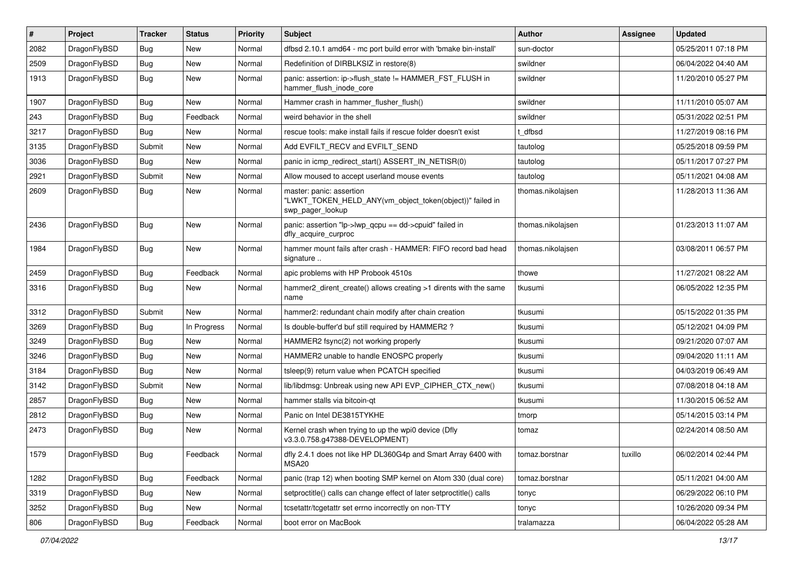| $\sharp$ | Project      | <b>Tracker</b> | <b>Status</b> | <b>Priority</b> | Subject                                                                                                  | Author            | Assignee | <b>Updated</b>      |
|----------|--------------|----------------|---------------|-----------------|----------------------------------------------------------------------------------------------------------|-------------------|----------|---------------------|
| 2082     | DragonFlyBSD | Bug            | <b>New</b>    | Normal          | dfbsd 2.10.1 amd64 - mc port build error with 'bmake bin-install'                                        | sun-doctor        |          | 05/25/2011 07:18 PM |
| 2509     | DragonFlyBSD | Bug            | <b>New</b>    | Normal          | Redefinition of DIRBLKSIZ in restore(8)                                                                  | swildner          |          | 06/04/2022 04:40 AM |
| 1913     | DragonFlyBSD | <b>Bug</b>     | <b>New</b>    | Normal          | panic: assertion: ip->flush_state != HAMMER_FST_FLUSH in<br>hammer_flush_inode_core                      | swildner          |          | 11/20/2010 05:27 PM |
| 1907     | DragonFlyBSD | Bug            | <b>New</b>    | Normal          | Hammer crash in hammer_flusher_flush()                                                                   | swildner          |          | 11/11/2010 05:07 AM |
| 243      | DragonFlyBSD | <b>Bug</b>     | Feedback      | Normal          | weird behavior in the shell                                                                              | swildner          |          | 05/31/2022 02:51 PM |
| 3217     | DragonFlyBSD | <b>Bug</b>     | <b>New</b>    | Normal          | rescue tools: make install fails if rescue folder doesn't exist                                          | t dfbsd           |          | 11/27/2019 08:16 PM |
| 3135     | DragonFlyBSD | Submit         | New           | Normal          | Add EVFILT_RECV and EVFILT_SEND                                                                          | tautolog          |          | 05/25/2018 09:59 PM |
| 3036     | DragonFlyBSD | Bug            | <b>New</b>    | Normal          | panic in icmp_redirect_start() ASSERT_IN_NETISR(0)                                                       | tautolog          |          | 05/11/2017 07:27 PM |
| 2921     | DragonFlyBSD | Submit         | <b>New</b>    | Normal          | Allow moused to accept userland mouse events                                                             | tautolog          |          | 05/11/2021 04:08 AM |
| 2609     | DragonFlyBSD | Bug            | <b>New</b>    | Normal          | master: panic: assertion<br>"LWKT_TOKEN_HELD_ANY(vm_object_token(object))" failed in<br>swp_pager_lookup | thomas.nikolajsen |          | 11/28/2013 11:36 AM |
| 2436     | DragonFlyBSD | <b>Bug</b>     | <b>New</b>    | Normal          | panic: assertion "lp->lwp_qcpu == dd->cpuid" failed in<br>dfly_acquire_curproc                           | thomas.nikolajsen |          | 01/23/2013 11:07 AM |
| 1984     | DragonFlyBSD | <b>Bug</b>     | New           | Normal          | hammer mount fails after crash - HAMMER: FIFO record bad head<br>signature                               | thomas.nikolajsen |          | 03/08/2011 06:57 PM |
| 2459     | DragonFlyBSD | <b>Bug</b>     | Feedback      | Normal          | apic problems with HP Probook 4510s                                                                      | thowe             |          | 11/27/2021 08:22 AM |
| 3316     | DragonFlyBSD | Bug            | <b>New</b>    | Normal          | hammer2 dirent create() allows creating >1 dirents with the same<br>name                                 | tkusumi           |          | 06/05/2022 12:35 PM |
| 3312     | DragonFlyBSD | Submit         | New           | Normal          | hammer2: redundant chain modify after chain creation                                                     | tkusumi           |          | 05/15/2022 01:35 PM |
| 3269     | DragonFlyBSD | <b>Bug</b>     | In Progress   | Normal          | Is double-buffer'd buf still required by HAMMER2?                                                        | tkusumi           |          | 05/12/2021 04:09 PM |
| 3249     | DragonFlyBSD | <b>Bug</b>     | <b>New</b>    | Normal          | HAMMER2 fsync(2) not working properly                                                                    | tkusumi           |          | 09/21/2020 07:07 AM |
| 3246     | DragonFlyBSD | <b>Bug</b>     | <b>New</b>    | Normal          | HAMMER2 unable to handle ENOSPC properly                                                                 | tkusumi           |          | 09/04/2020 11:11 AM |
| 3184     | DragonFlyBSD | Bug            | <b>New</b>    | Normal          | tsleep(9) return value when PCATCH specified                                                             | tkusumi           |          | 04/03/2019 06:49 AM |
| 3142     | DragonFlyBSD | Submit         | <b>New</b>    | Normal          | lib/libdmsg: Unbreak using new API EVP_CIPHER_CTX_new()                                                  | tkusumi           |          | 07/08/2018 04:18 AM |
| 2857     | DragonFlyBSD | Bug            | New           | Normal          | hammer stalls via bitcoin-qt                                                                             | tkusumi           |          | 11/30/2015 06:52 AM |
| 2812     | DragonFlyBSD | <b>Bug</b>     | New           | Normal          | Panic on Intel DE3815TYKHE                                                                               | tmorp             |          | 05/14/2015 03:14 PM |
| 2473     | DragonFlyBSD | <b>Bug</b>     | <b>New</b>    | Normal          | Kernel crash when trying to up the wpi0 device (Dfly<br>v3.3.0.758.g47388-DEVELOPMENT)                   | tomaz             |          | 02/24/2014 08:50 AM |
| 1579     | DragonFlyBSD | Bug            | Feedback      | Normal          | dfly 2.4.1 does not like HP DL360G4p and Smart Array 6400 with<br>MSA <sub>20</sub>                      | tomaz.borstnar    | tuxillo  | 06/02/2014 02:44 PM |
| 1282     | DragonFlyBSD | <b>Bug</b>     | Feedback      | Normal          | panic (trap 12) when booting SMP kernel on Atom 330 (dual core)                                          | tomaz.borstnar    |          | 05/11/2021 04:00 AM |
| 3319     | DragonFlyBSD | <b>Bug</b>     | New           | Normal          | setproctitle() calls can change effect of later setproctitle() calls                                     | tonyc             |          | 06/29/2022 06:10 PM |
| 3252     | DragonFlyBSD | <b>Bug</b>     | New           | Normal          | tcsetattr/tcgetattr set errno incorrectly on non-TTY                                                     | tonyc             |          | 10/26/2020 09:34 PM |
| 806      | DragonFlyBSD | Bug            | Feedback      | Normal          | boot error on MacBook                                                                                    | tralamazza        |          | 06/04/2022 05:28 AM |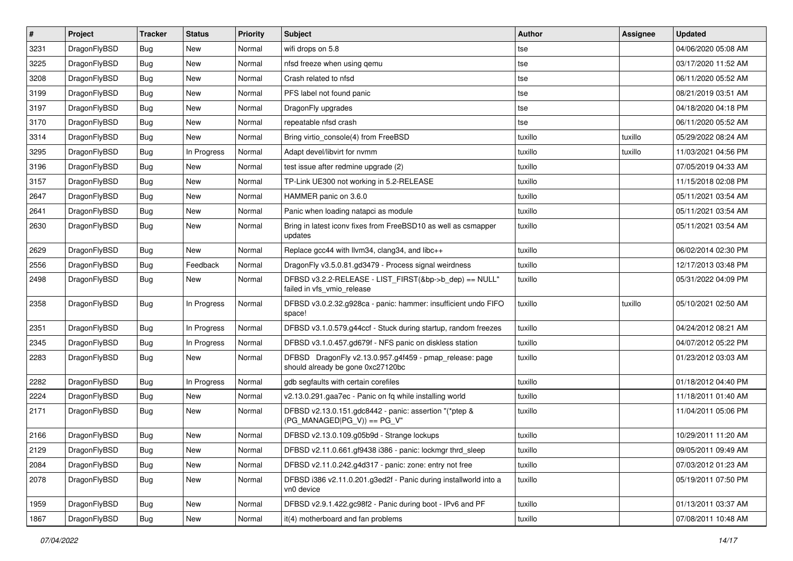| $\pmb{\#}$ | Project      | <b>Tracker</b> | <b>Status</b> | <b>Priority</b> | Subject                                                                                      | <b>Author</b> | Assignee | <b>Updated</b>      |
|------------|--------------|----------------|---------------|-----------------|----------------------------------------------------------------------------------------------|---------------|----------|---------------------|
| 3231       | DragonFlyBSD | Bug            | <b>New</b>    | Normal          | wifi drops on 5.8                                                                            | tse           |          | 04/06/2020 05:08 AM |
| 3225       | DragonFlyBSD | Bug            | <b>New</b>    | Normal          | nfsd freeze when using qemu                                                                  | tse           |          | 03/17/2020 11:52 AM |
| 3208       | DragonFlyBSD | Bug            | New           | Normal          | Crash related to nfsd                                                                        | tse           |          | 06/11/2020 05:52 AM |
| 3199       | DragonFlyBSD | Bug            | New           | Normal          | PFS label not found panic                                                                    | tse           |          | 08/21/2019 03:51 AM |
| 3197       | DragonFlyBSD | <b>Bug</b>     | <b>New</b>    | Normal          | DragonFly upgrades                                                                           | tse           |          | 04/18/2020 04:18 PM |
| 3170       | DragonFlyBSD | <b>Bug</b>     | New           | Normal          | repeatable nfsd crash                                                                        | tse           |          | 06/11/2020 05:52 AM |
| 3314       | DragonFlyBSD | Bug            | <b>New</b>    | Normal          | Bring virtio_console(4) from FreeBSD                                                         | tuxillo       | tuxillo  | 05/29/2022 08:24 AM |
| 3295       | DragonFlyBSD | Bug            | In Progress   | Normal          | Adapt devel/libvirt for nvmm                                                                 | tuxillo       | tuxillo  | 11/03/2021 04:56 PM |
| 3196       | DragonFlyBSD | Bug            | New           | Normal          | test issue after redmine upgrade (2)                                                         | tuxillo       |          | 07/05/2019 04:33 AM |
| 3157       | DragonFlyBSD | Bug            | <b>New</b>    | Normal          | TP-Link UE300 not working in 5.2-RELEASE                                                     | tuxillo       |          | 11/15/2018 02:08 PM |
| 2647       | DragonFlyBSD | <b>Bug</b>     | New           | Normal          | HAMMER panic on 3.6.0                                                                        | tuxillo       |          | 05/11/2021 03:54 AM |
| 2641       | DragonFlyBSD | Bug            | New           | Normal          | Panic when loading natapci as module                                                         | tuxillo       |          | 05/11/2021 03:54 AM |
| 2630       | DragonFlyBSD | Bug            | New           | Normal          | Bring in latest iconv fixes from FreeBSD10 as well as csmapper<br>updates                    | tuxillo       |          | 05/11/2021 03:54 AM |
| 2629       | DragonFlyBSD | Bug            | New           | Normal          | Replace gcc44 with llvm34, clang34, and libc++                                               | tuxillo       |          | 06/02/2014 02:30 PM |
| 2556       | DragonFlyBSD | <b>Bug</b>     | Feedback      | Normal          | DragonFly v3.5.0.81.gd3479 - Process signal weirdness                                        | tuxillo       |          | 12/17/2013 03:48 PM |
| 2498       | DragonFlyBSD | Bug            | New           | Normal          | DFBSD v3.2.2-RELEASE - LIST_FIRST(&bp->b_dep) == NULL"<br>failed in vfs_vmio_release         | tuxillo       |          | 05/31/2022 04:09 PM |
| 2358       | DragonFlyBSD | <b>Bug</b>     | In Progress   | Normal          | DFBSD v3.0.2.32.g928ca - panic: hammer: insufficient undo FIFO<br>space!                     | tuxillo       | tuxillo  | 05/10/2021 02:50 AM |
| 2351       | DragonFlyBSD | <b>Bug</b>     | In Progress   | Normal          | DFBSD v3.1.0.579.g44ccf - Stuck during startup, random freezes                               | tuxillo       |          | 04/24/2012 08:21 AM |
| 2345       | DragonFlyBSD | Bug            | In Progress   | Normal          | DFBSD v3.1.0.457.gd679f - NFS panic on diskless station                                      | tuxillo       |          | 04/07/2012 05:22 PM |
| 2283       | DragonFlyBSD | Bug            | New           | Normal          | DFBSD DragonFly v2.13.0.957.g4f459 - pmap_release: page<br>should already be gone 0xc27120bc | tuxillo       |          | 01/23/2012 03:03 AM |
| 2282       | DragonFlyBSD | Bug            | In Progress   | Normal          | gdb segfaults with certain corefiles                                                         | tuxillo       |          | 01/18/2012 04:40 PM |
| 2224       | DragonFlyBSD | <b>Bug</b>     | <b>New</b>    | Normal          | v2.13.0.291.gaa7ec - Panic on fq while installing world                                      | tuxillo       |          | 11/18/2011 01:40 AM |
| 2171       | DragonFlyBSD | Bug            | New           | Normal          | DFBSD v2.13.0.151.gdc8442 - panic: assertion "(*ptep &<br>$(PG_MANAGED PG_V)) == PG_V"$      | tuxillo       |          | 11/04/2011 05:06 PM |
| 2166       | DragonFlyBSD | <b>Bug</b>     | <b>New</b>    | Normal          | DFBSD v2.13.0.109.g05b9d - Strange lockups                                                   | tuxillo       |          | 10/29/2011 11:20 AM |
| 2129       | DragonFlyBSD | <b>Bug</b>     | New           | Normal          | DFBSD v2.11.0.661.gf9438 i386 - panic: lockmgr thrd_sleep                                    | tuxillo       |          | 09/05/2011 09:49 AM |
| 2084       | DragonFlyBSD | Bug            | New           | Normal          | DFBSD v2.11.0.242.g4d317 - panic: zone: entry not free                                       | tuxillo       |          | 07/03/2012 01:23 AM |
| 2078       | DragonFlyBSD | <b>Bug</b>     | New           | Normal          | DFBSD i386 v2.11.0.201.g3ed2f - Panic during installworld into a<br>vn0 device               | tuxillo       |          | 05/19/2011 07:50 PM |
| 1959       | DragonFlyBSD | <b>Bug</b>     | New           | Normal          | DFBSD v2.9.1.422.gc98f2 - Panic during boot - IPv6 and PF                                    | tuxillo       |          | 01/13/2011 03:37 AM |
| 1867       | DragonFlyBSD | Bug            | New           | Normal          | it(4) motherboard and fan problems                                                           | tuxillo       |          | 07/08/2011 10:48 AM |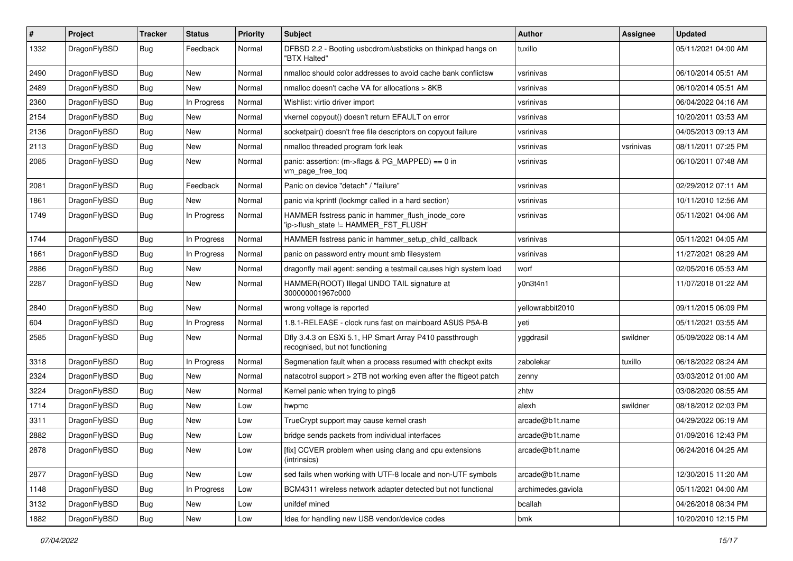| #    | Project      | <b>Tracker</b> | <b>Status</b> | <b>Priority</b> | <b>Subject</b>                                                                             | Author             | Assignee  | <b>Updated</b>      |
|------|--------------|----------------|---------------|-----------------|--------------------------------------------------------------------------------------------|--------------------|-----------|---------------------|
| 1332 | DragonFlyBSD | Bug            | Feedback      | Normal          | DFBSD 2.2 - Booting usbcdrom/usbsticks on thinkpad hangs on<br>"BTX Halted"                | tuxillo            |           | 05/11/2021 04:00 AM |
| 2490 | DragonFlyBSD | <b>Bug</b>     | <b>New</b>    | Normal          | nmalloc should color addresses to avoid cache bank conflictsw                              | vsrinivas          |           | 06/10/2014 05:51 AM |
| 2489 | DragonFlyBSD | <b>Bug</b>     | New           | Normal          | nmalloc doesn't cache VA for allocations > 8KB                                             | vsrinivas          |           | 06/10/2014 05:51 AM |
| 2360 | DragonFlyBSD | Bug            | In Progress   | Normal          | Wishlist: virtio driver import                                                             | vsrinivas          |           | 06/04/2022 04:16 AM |
| 2154 | DragonFlyBSD | <b>Bug</b>     | New           | Normal          | vkernel copyout() doesn't return EFAULT on error                                           | vsrinivas          |           | 10/20/2011 03:53 AM |
| 2136 | DragonFlyBSD | <b>Bug</b>     | <b>New</b>    | Normal          | socketpair() doesn't free file descriptors on copyout failure                              | vsrinivas          |           | 04/05/2013 09:13 AM |
| 2113 | DragonFlyBSD | <b>Bug</b>     | New           | Normal          | nmalloc threaded program fork leak                                                         | vsrinivas          | vsrinivas | 08/11/2011 07:25 PM |
| 2085 | DragonFlyBSD | <b>Bug</b>     | New           | Normal          | panic: assertion: (m->flags & PG_MAPPED) == 0 in<br>vm_page_free_toq                       | vsrinivas          |           | 06/10/2011 07:48 AM |
| 2081 | DragonFlyBSD | <b>Bug</b>     | Feedback      | Normal          | Panic on device "detach" / "failure"                                                       | vsrinivas          |           | 02/29/2012 07:11 AM |
| 1861 | DragonFlyBSD | <b>Bug</b>     | New           | Normal          | panic via kprintf (lockmgr called in a hard section)                                       | vsrinivas          |           | 10/11/2010 12:56 AM |
| 1749 | DragonFlyBSD | Bug            | In Progress   | Normal          | HAMMER fsstress panic in hammer_flush_inode_core<br>'ip->flush_state != HAMMER_FST_FLUSH'  | vsrinivas          |           | 05/11/2021 04:06 AM |
| 1744 | DragonFlyBSD | Bug            | In Progress   | Normal          | HAMMER fsstress panic in hammer_setup_child_callback                                       | vsrinivas          |           | 05/11/2021 04:05 AM |
| 1661 | DragonFlyBSD | <b>Bug</b>     | In Progress   | Normal          | panic on password entry mount smb filesystem                                               | vsrinivas          |           | 11/27/2021 08:29 AM |
| 2886 | DragonFlyBSD | <b>Bug</b>     | <b>New</b>    | Normal          | dragonfly mail agent: sending a testmail causes high system load                           | worf               |           | 02/05/2016 05:53 AM |
| 2287 | DragonFlyBSD | Bug            | New           | Normal          | HAMMER(ROOT) Illegal UNDO TAIL signature at<br>300000001967c000                            | y0n3t4n1           |           | 11/07/2018 01:22 AM |
| 2840 | DragonFlyBSD | Bug            | New           | Normal          | wrong voltage is reported                                                                  | yellowrabbit2010   |           | 09/11/2015 06:09 PM |
| 604  | DragonFlyBSD | <b>Bug</b>     | In Progress   | Normal          | 1.8.1-RELEASE - clock runs fast on mainboard ASUS P5A-B                                    | yeti               |           | 05/11/2021 03:55 AM |
| 2585 | DragonFlyBSD | <b>Bug</b>     | New           | Normal          | Dfly 3.4.3 on ESXi 5.1, HP Smart Array P410 passthrough<br>recognised, but not functioning | yggdrasil          | swildner  | 05/09/2022 08:14 AM |
| 3318 | DragonFlyBSD | <b>Bug</b>     | In Progress   | Normal          | Segmenation fault when a process resumed with checkpt exits                                | zabolekar          | tuxillo   | 06/18/2022 08:24 AM |
| 2324 | DragonFlyBSD | <b>Bug</b>     | <b>New</b>    | Normal          | natacotrol support > 2TB not working even after the ftigeot patch                          | zenny              |           | 03/03/2012 01:00 AM |
| 3224 | DragonFlyBSD | <b>Bug</b>     | <b>New</b>    | Normal          | Kernel panic when trying to ping6                                                          | zhtw               |           | 03/08/2020 08:55 AM |
| 1714 | DragonFlyBSD | Bug            | New           | Low             | hwpmc                                                                                      | alexh              | swildner  | 08/18/2012 02:03 PM |
| 3311 | DragonFlyBSD | <b>Bug</b>     | New           | Low             | TrueCrypt support may cause kernel crash                                                   | arcade@b1t.name    |           | 04/29/2022 06:19 AM |
| 2882 | DragonFlyBSD | <b>Bug</b>     | New           | Low             | bridge sends packets from individual interfaces                                            | arcade@b1t.name    |           | 01/09/2016 12:43 PM |
| 2878 | DragonFlyBSD | <b>Bug</b>     | New           | Low             | [fix] CCVER problem when using clang and cpu extensions<br>(intrinsics)                    | arcade@b1t.name    |           | 06/24/2016 04:25 AM |
| 2877 | DragonFlyBSD | <b>Bug</b>     | New           | Low             | sed fails when working with UTF-8 locale and non-UTF symbols                               | arcade@b1t.name    |           | 12/30/2015 11:20 AM |
| 1148 | DragonFlyBSD | <b>Bug</b>     | In Progress   | Low             | BCM4311 wireless network adapter detected but not functional                               | archimedes.gaviola |           | 05/11/2021 04:00 AM |
| 3132 | DragonFlyBSD | <b>Bug</b>     | New           | Low             | unifdef mined                                                                              | bcallah            |           | 04/26/2018 08:34 PM |
| 1882 | DragonFlyBSD | <b>Bug</b>     | New           | Low             | Idea for handling new USB vendor/device codes                                              | bmk                |           | 10/20/2010 12:15 PM |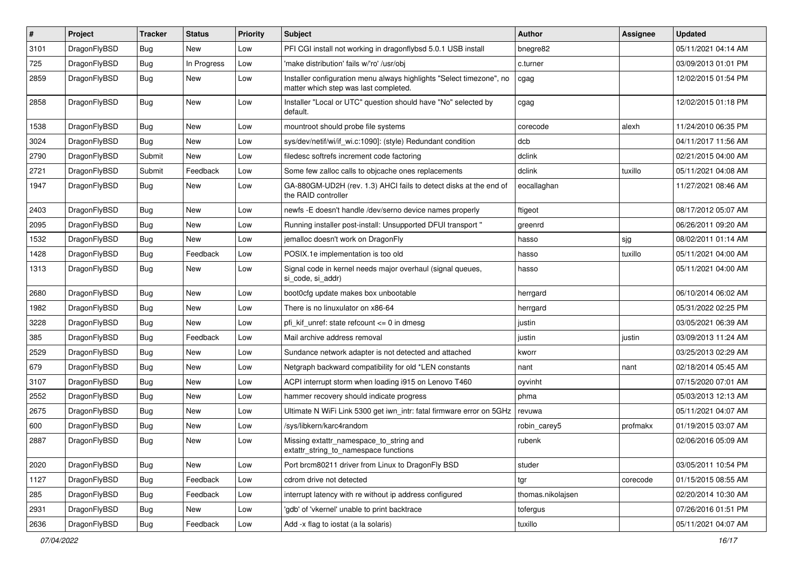| $\sharp$ | Project      | <b>Tracker</b> | <b>Status</b> | <b>Priority</b> | Subject                                                                                                       | <b>Author</b>     | Assignee | <b>Updated</b>      |
|----------|--------------|----------------|---------------|-----------------|---------------------------------------------------------------------------------------------------------------|-------------------|----------|---------------------|
| 3101     | DragonFlyBSD | Bug            | New           | Low             | PFI CGI install not working in dragonflybsd 5.0.1 USB install                                                 | bnegre82          |          | 05/11/2021 04:14 AM |
| 725      | DragonFlyBSD | Bug            | In Progress   | Low             | 'make distribution' fails w/'ro' /usr/obj                                                                     | c.turner          |          | 03/09/2013 01:01 PM |
| 2859     | DragonFlyBSD | Bug            | New           | Low             | Installer configuration menu always highlights "Select timezone", no<br>matter which step was last completed. | cgag              |          | 12/02/2015 01:54 PM |
| 2858     | DragonFlyBSD | <b>Bug</b>     | New           | Low             | Installer "Local or UTC" question should have "No" selected by<br>default.                                    | cgag              |          | 12/02/2015 01:18 PM |
| 1538     | DragonFlyBSD | Bug            | New           | Low             | mountroot should probe file systems                                                                           | corecode          | alexh    | 11/24/2010 06:35 PM |
| 3024     | DragonFlyBSD | Bug            | New           | Low             | sys/dev/netif/wi/if_wi.c:1090]: (style) Redundant condition                                                   | dcb               |          | 04/11/2017 11:56 AM |
| 2790     | DragonFlyBSD | Submit         | New           | Low             | filedesc softrefs increment code factoring                                                                    | dclink            |          | 02/21/2015 04:00 AM |
| 2721     | DragonFlyBSD | Submit         | Feedback      | Low             | Some few zalloc calls to objcache ones replacements                                                           | dclink            | tuxillo  | 05/11/2021 04:08 AM |
| 1947     | DragonFlyBSD | <b>Bug</b>     | New           | Low             | GA-880GM-UD2H (rev. 1.3) AHCI fails to detect disks at the end of<br>the RAID controller                      | eocallaghan       |          | 11/27/2021 08:46 AM |
| 2403     | DragonFlyBSD | <b>Bug</b>     | <b>New</b>    | Low             | newfs -E doesn't handle /dev/serno device names properly                                                      | ftigeot           |          | 08/17/2012 05:07 AM |
| 2095     | DragonFlyBSD | <b>Bug</b>     | New           | Low             | Running installer post-install: Unsupported DFUI transport "                                                  | greenrd           |          | 06/26/2011 09:20 AM |
| 1532     | DragonFlyBSD | <b>Bug</b>     | New           | Low             | jemalloc doesn't work on DragonFly                                                                            | hasso             | sjg      | 08/02/2011 01:14 AM |
| 1428     | DragonFlyBSD | <b>Bug</b>     | Feedback      | Low             | POSIX.1e implementation is too old                                                                            | hasso             | tuxillo  | 05/11/2021 04:00 AM |
| 1313     | DragonFlyBSD | <b>Bug</b>     | New           | Low             | Signal code in kernel needs major overhaul (signal queues,<br>si code, si addr)                               | hasso             |          | 05/11/2021 04:00 AM |
| 2680     | DragonFlyBSD | <b>Bug</b>     | <b>New</b>    | Low             | boot0cfg update makes box unbootable                                                                          | herrgard          |          | 06/10/2014 06:02 AM |
| 1982     | DragonFlyBSD | <b>Bug</b>     | New           | Low             | There is no linuxulator on x86-64                                                                             | herrgard          |          | 05/31/2022 02:25 PM |
| 3228     | DragonFlyBSD | <b>Bug</b>     | <b>New</b>    | Low             | pfi kif unref: state refcount $\leq$ 0 in dmesg                                                               | justin            |          | 03/05/2021 06:39 AM |
| 385      | DragonFlyBSD | <b>Bug</b>     | Feedback      | Low             | Mail archive address removal                                                                                  | justin            | justin   | 03/09/2013 11:24 AM |
| 2529     | DragonFlyBSD | <b>Bug</b>     | <b>New</b>    | Low             | Sundance network adapter is not detected and attached                                                         | kworr             |          | 03/25/2013 02:29 AM |
| 679      | DragonFlyBSD | <b>Bug</b>     | <b>New</b>    | Low             | Netgraph backward compatibility for old *LEN constants                                                        | nant              | nant     | 02/18/2014 05:45 AM |
| 3107     | DragonFlyBSD | <b>Bug</b>     | New           | Low             | ACPI interrupt storm when loading i915 on Lenovo T460                                                         | oyvinht           |          | 07/15/2020 07:01 AM |
| 2552     | DragonFlyBSD | <b>Bug</b>     | <b>New</b>    | Low             | hammer recovery should indicate progress                                                                      | phma              |          | 05/03/2013 12:13 AM |
| 2675     | DragonFlyBSD | <b>Bug</b>     | New           | Low             | Ultimate N WiFi Link 5300 get iwn intr: fatal firmware error on 5GHz                                          | revuwa            |          | 05/11/2021 04:07 AM |
| 600      | DragonFlyBSD | <b>Bug</b>     | <b>New</b>    | Low             | /sys/libkern/karc4random                                                                                      | robin_carey5      | profmakx | 01/19/2015 03:07 AM |
| 2887     | DragonFlyBSD | <b>Bug</b>     | <b>New</b>    | Low             | Missing extattr_namespace_to_string and<br>extattr string to namespace functions                              | rubenk            |          | 02/06/2016 05:09 AM |
| 2020     | DragonFlyBSD | <b>Bug</b>     | New           | Low             | Port brcm80211 driver from Linux to DragonFly BSD                                                             | studer            |          | 03/05/2011 10:54 PM |
| 1127     | DragonFlyBSD | <b>Bug</b>     | Feedback      | Low             | cdrom drive not detected                                                                                      | tgr               | corecode | 01/15/2015 08:55 AM |
| 285      | DragonFlyBSD | <b>Bug</b>     | Feedback      | Low             | interrupt latency with re without ip address configured                                                       | thomas.nikolajsen |          | 02/20/2014 10:30 AM |
| 2931     | DragonFlyBSD | <b>Bug</b>     | New           | Low             | 'gdb' of 'vkernel' unable to print backtrace                                                                  | tofergus          |          | 07/26/2016 01:51 PM |
| 2636     | DragonFlyBSD | <b>Bug</b>     | Feedback      | Low             | Add -x flag to iostat (a la solaris)                                                                          | tuxillo           |          | 05/11/2021 04:07 AM |